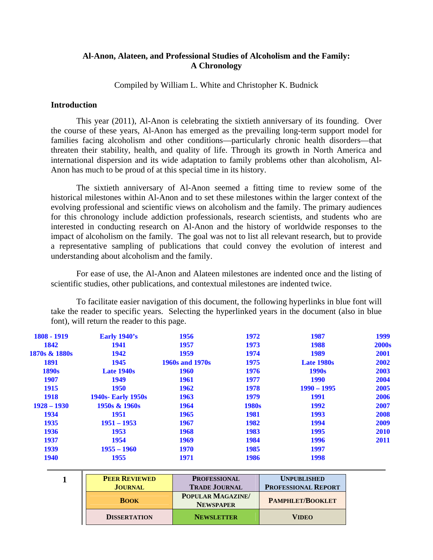# <span id="page-0-0"></span>**Al-Anon, Alateen, and Professional Studies of Alcoholism and the Family: A Chronology**

Compiled by William L. White and Christopher K. Budnick

### **Introduction**

This year (2011), Al-Anon is celebrating the sixtieth anniversary of its founding. Over the course of these years, Al-Anon has emerged as the prevailing long-term support model for families facing alcoholism and other conditions—particularly chronic health disorders—that threaten their stability, health, and quality of life. Through its growth in North America and international dispersion and its wide adaptation to family problems other than alcoholism, Al-Anon has much to be proud of at this special time in its history.

 The sixtieth anniversary of Al-Anon seemed a fitting time to review some of the historical milestones within Al-Anon and to set these milestones within the larger context of the evolving professional and scientific views on alcoholism and the family. The primary audiences for this chronology include addiction professionals, research scientists, and students who are interested in conducting research on Al-Anon and the history of worldwide responses to the impact of alcoholism on the family. The goal was not to list all relevant research, but to provide a representative sampling of publications that could convey the evolution of interest and understanding about alcoholism and the family.

 For ease of use, the Al-Anon and Alateen milestones are indented once and the listing of scientific studies, other publications, and contextual milestones are indented twice.

To facilitate easier navigation of this document, the following hyperlinks in blue font will take the reader to specific years. Selecting the hyperlinked years in the document (also in blue font), will return the reader to this page.

| 1808 - 1919   | <b>Early 1940's</b>       | 1956                   | 1972  | 1987              | 1999         |
|---------------|---------------------------|------------------------|-------|-------------------|--------------|
| 1842          | 1941                      | 1957                   | 1973  | 1988              | <b>2000s</b> |
| 1870s & 1880s | 1942                      | 1959                   | 1974  | 1989              | 2001         |
| <b>1891</b>   | 1945                      | <b>1960s and 1970s</b> | 1975  | <b>Late 1980s</b> | 2002         |
| <b>1890s</b>  | <b>Late 1940s</b>         | <b>1960</b>            | 1976  | 1990 <sub>s</sub> | 2003         |
| <b>1907</b>   | 1949                      | 1961                   | 1977  | <b>1990</b>       | 2004         |
| <b>1915</b>   | <b>1950</b>               | 1962                   | 1978  | $1990 - 1995$     | 2005         |
| <b>1918</b>   | <b>1940s- Early 1950s</b> | 1963                   | 1979  | <b>1991</b>       | 2006         |
| $1928 - 1930$ | 1950s & 1960s             | 1964                   | 1980s | 1992              | 2007         |
| 1934          | 1951                      | 1965                   | 1981  | 1993              | 2008         |
| 1935          | $1951 - 1953$             | 1967                   | 1982  | 1994              | 2009         |
| 1936          | 1953                      | 1968                   | 1983  | 1995              | 2010         |
| 1937          | 1954                      | 1969                   | 1984  | 1996              | 2011         |
| 1939          | $1955 - 1960$             | 1970                   | 1985  | 1997              |              |
| <b>1940</b>   | 1955                      | 1971                   | 1986  | 1998              |              |

**1 PEER REVIEWED JOURNAL PROFESSIONAL TRADE JOURNAL UNPUBLISHED PROFESSIONAL REPORT BOOK POPULAR MAGAZINE/ NEWSPAPER PAMPHLET/BOOKLET DISSERTATION NEWSLETTER VIDEO**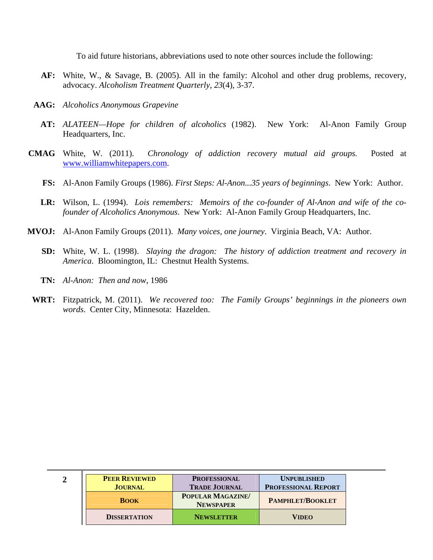To aid future historians, abbreviations used to note other sources include the following:

- **AF:** White, W., & Savage, B. (2005). All in the family: Alcohol and other drug problems, recovery, advocacy. *Alcoholism Treatment Quarterly, 23*(4), 3-37.
- **AAG:** *Alcoholics Anonymous Grapevine*
	- **AT:** *ALATEEN—Hope for children of alcoholics* (1982). New York: Al-Anon Family Group Headquarters, Inc.
- **CMAG** White, W. (2011). *Chronology of addiction recovery mutual aid groups.* Posted at www.williamwhitepapers.com.
	- **FS:** Al-Anon Family Groups (1986). *First Steps: Al-Anon...35 years of beginnings*. New York: Author.
	- **LR:** Wilson, L. (1994). *Lois remembers: Memoirs of the co-founder of Al-Anon and wife of the cofounder of Alcoholics Anonymous*. New York: Al-Anon Family Group Headquarters, Inc.
- **MVOJ:** Al-Anon Family Groups (2011). *Many voices, one journey*. Virginia Beach, VA: Author.
	- **SD:** White, W. L. (1998). *Slaying the dragon: The history of addiction treatment and recovery in America*. Bloomington, IL: Chestnut Health Systems.
	- **TN:** *Al-Anon: Then and now*, 1986
- **WRT:** Fitzpatrick, M. (2011). *We recovered too: The Family Groups' beginnings in the pioneers own words*. Center City, Minnesota: Hazelden.

| <b>PEER REVIEWED</b><br><b>JOURNAL</b> | <b>PROFESSIONAL</b><br><b>TRADE JOURNAL</b> | <b>UNPUBLISHED</b><br><b>PROFESSIONAL REPORT</b> |
|----------------------------------------|---------------------------------------------|--------------------------------------------------|
| <b>BOOK</b>                            | <b>POPULAR MAGAZINE</b><br><b>NEWSPAPER</b> | <b>PAMPHLET/BOOKLET</b>                          |
| <b>DISSERTATION</b>                    | <b>NEWSLETTER</b>                           | VIDEO                                            |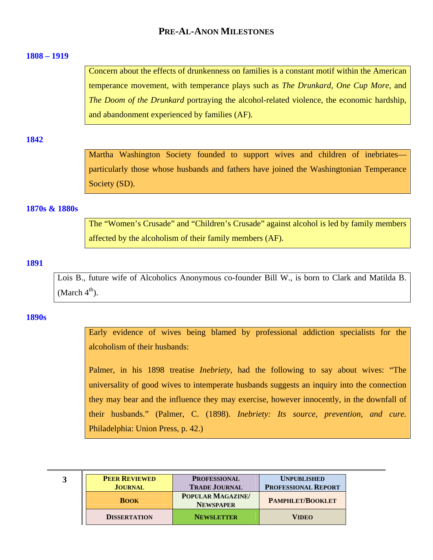# **PRE-AL-ANON MILESTONES**

### <span id="page-2-0"></span>**[1808 – 1919](#page-0-0)**

Concern about the effects of drunkenness on families is a constant motif within the American temperance movement, with temperance plays such as *The Drunkard, One Cup More,* and *The Doom of the Drunkard* portraying the alcohol-related violence, the economic hardship, and abandonment experienced by families (AF).

#### **[1842](#page-0-0)**

Martha Washington Society founded to support wives and children of inebriates particularly those whose husbands and fathers have joined the Washingtonian Temperance Society (SD).

### **[1870s & 1880s](#page-0-0)**

The "Women's Crusade" and "Children's Crusade" against alcohol is led by family members affected by the alcoholism of their family members (AF).

## **[1891](#page-0-0)**

Lois B., future wife of Alcoholics Anonymous co-founder Bill W., is born to Clark and Matilda B. (March  $4<sup>th</sup>$ ).

### **[1890s](#page-0-0)**

Early evidence of wives being blamed by professional addiction specialists for the alcoholism of their husbands:

Palmer, in his 1898 treatise *Inebriety*, had the following to say about wives: "The universality of good wives to intemperate husbands suggests an inquiry into the connection they may bear and the influence they may exercise, however innocently, in the downfall of their husbands." (Palmer, C. (1898). *Inebriety: Its source, prevention, and cure.*  Philadelphia: Union Press, p. 42.)

| <b>PEER REVIEWED</b><br><b>JOURNAL</b> | <b>PROFESSIONAL</b><br><b>TRADE JOURNAL</b> | <b>UNPUBLISHED</b><br><b>PROFESSIONAL REPORT</b> |
|----------------------------------------|---------------------------------------------|--------------------------------------------------|
| <b>BOOK</b>                            | <b>POPULAR MAGAZINE</b><br><b>NEWSPAPER</b> | <b>PAMPHLET/BOOKLET</b>                          |
| <b>DISSERTATION</b>                    | <b>NEWSLETTER</b>                           | <b>VIDEO</b>                                     |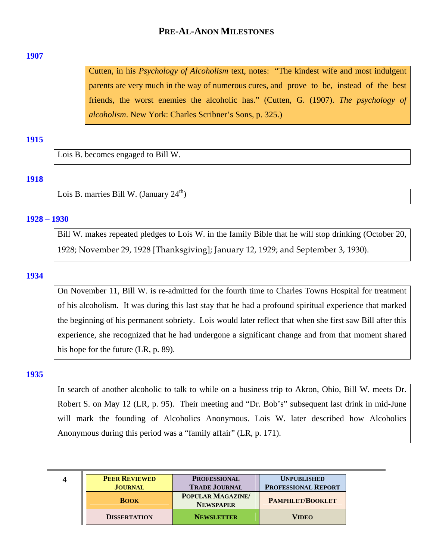# **PRE-AL-ANON MILESTONES**

### <span id="page-3-0"></span>**[1907](#page-0-0)**

Cutten, in his *Psychology of Alcoholism* text, notes: "The kindest wife and most indulgent parents are very much in the way of numerous cures, and prove to be, instead of the best friends, the worst enemies the alcoholic has." (Cutten, G. (1907). *The psychology of alcoholism*. New York: Charles Scribner's Sons, p. 325.)

## **[1915](#page-0-0)**

Lois B. becomes engaged to Bill W.

## **[1918](#page-0-0)**

Lois B. marries Bill W. (January 24<sup>th</sup>)

### **[1928 – 1930](#page-0-0)**

Bill W. makes repeated pledges to Lois W. in the family Bible that he will stop drinking (October 20, 1928; November 29, 1928 [Thanksgiving]; January 12, 1929; and September 3, 1930).

### **[1934](#page-0-0)**

On November 11, Bill W. is re-admitted for the fourth time to Charles Towns Hospital for treatment of his alcoholism. It was during this last stay that he had a profound spiritual experience that marked the beginning of his permanent sobriety. Lois would later reflect that when she first saw Bill after this experience, she recognized that he had undergone a significant change and from that moment shared his hope for the future (LR, p. 89).

### **[1935](#page-0-0)**

In search of another alcoholic to talk to while on a business trip to Akron, Ohio, Bill W. meets Dr. Robert S. on May 12 (LR, p. 95). Their meeting and "Dr. Bob's" subsequent last drink in mid-June will mark the founding of Alcoholics Anonymous. Lois W. later described how Alcoholics Anonymous during this period was a "family affair" (LR, p. 171).

| 4 | <b>PEER REVIEWED</b><br><b>JOURNAL</b> | <b>PROFESSIONAL</b><br><b>TRADE JOURNAL</b> | <b>UNPUBLISHED</b><br><b>PROFESSIONAL REPORT</b> |
|---|----------------------------------------|---------------------------------------------|--------------------------------------------------|
|   | <b>BOOK</b>                            | POPULAR MAGAZINE/<br><b>NEWSPAPER</b>       | <b>PAMPHLET/BOOKLET</b>                          |
|   | <b>DISSERTATION</b>                    | <b>NEWSLETTER</b>                           | <b>VIDEO</b>                                     |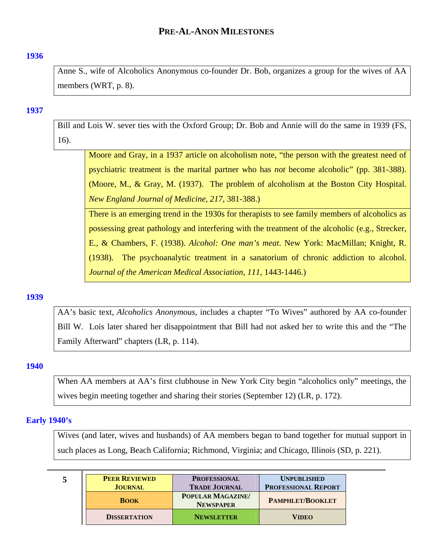## <span id="page-4-0"></span>**[1936](#page-0-0)**

Anne S., wife of Alcoholics Anonymous co-founder Dr. Bob, organizes a group for the wives of AA members (WRT, p. 8).

### **[1937](#page-0-0)**

Bill and Lois W. sever ties with the Oxford Group; Dr. Bob and Annie will do the same in 1939 (FS, 16).

Moore and Gray, in a 1937 article on alcoholism note, "the person with the greatest need of psychiatric treatment is the marital partner who has *not* become alcoholic" (pp. 381-388). (Moore, M., & Gray, M. (1937). The problem of alcoholism at the Boston City Hospital. *New England Journal of Medicine, 217*, 381-388.)

There is an emerging trend in the 1930s for therapists to see family members of alcoholics as possessing great pathology and interfering with the treatment of the alcoholic (e.g., Strecker, E., & Chambers, F. (1938). *Alcohol: One man's meat*. New York: MacMillan; Knight, R. (1938). The psychoanalytic treatment in a sanatorium of chronic addiction to alcohol. *Journal of the American Medical Association*, *111*, 1443-1446.)

### **[1939](#page-0-0)**

AA's basic text, *Alcoholics Anonymous*, includes a chapter "To Wives" authored by AA co-founder Bill W. Lois later shared her disappointment that Bill had not asked her to write this and the "The Family Afterward" chapters (LR, p. 114).

### **[1940](#page-0-0)**

When AA members at AA's first clubhouse in New York City begin "alcoholics only" meetings, the wives begin meeting together and sharing their stories (September 12) (LR, p. 172).

### **[Early 1940's](#page-0-0)**

Wives (and later, wives and husbands) of AA members began to band together for mutual support in such places as Long, Beach California; Richmond, Virginia; and Chicago, Illinois (SD, p. 221).

| 5 | <b>PEER REVIEWED</b> | <b>PROFESSIONAL</b>                         | <b>UNPUBLISHED</b>         |  |
|---|----------------------|---------------------------------------------|----------------------------|--|
|   | <b>JOURNAL</b>       | <b>TRADE JOURNAL</b>                        | <b>PROFESSIONAL REPORT</b> |  |
|   | <b>BOOK</b>          | <b>POPULAR MAGAZINE</b><br><b>NEWSPAPER</b> | <b>PAMPHLET/BOOKLET</b>    |  |
|   | <b>DISSERTATION</b>  | <b>NEWSLETTER</b>                           | <b>VIDEO</b>               |  |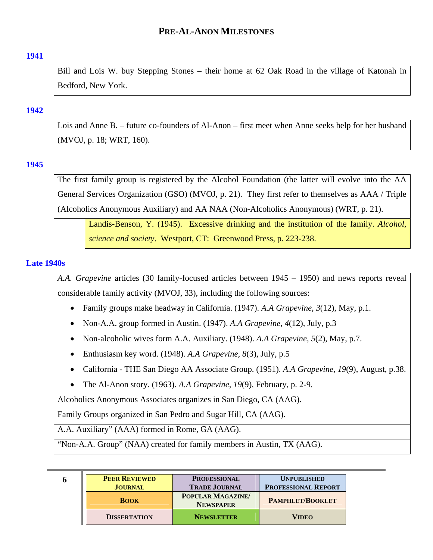## <span id="page-5-0"></span>**[1941](#page-0-0)**

Bill and Lois W. buy Stepping Stones – their home at 62 Oak Road in the village of Katonah in Bedford, New York.

## **[1942](#page-0-0)**

Lois and Anne B. – future co-founders of Al-Anon – first meet when Anne seeks help for her husband (MVOJ, p. 18; WRT, 160).

## **[1945](#page-0-0)**

The first family group is registered by the Alcohol Foundation (the latter will evolve into the AA General Services Organization (GSO) (MVOJ, p. 21). They first refer to themselves as AAA / Triple (Alcoholics Anonymous Auxiliary) and AA NAA (Non-Alcoholics Anonymous) (WRT, p. 21).

Landis-Benson, Y. (1945). Excessive drinking and the institution of the family. *Alcohol, science and society*. Westport, CT: Greenwood Press, p. 223-238.

## **[Late 1940s](#page-0-0)**

*A.A. Grapevine* articles (30 family-focused articles between 1945 – 1950) and news reports reveal considerable family activity (MVOJ, 33), including the following sources:

- Family groups make headway in California. (1947). *A.A Grapevine, 3*(12), May, p.1.
- Non-A.A. group formed in Austin. (1947). *A.A Grapevine, 4*(12), July, p.3
- Non-alcoholic wives form A.A. Auxiliary. (1948). *A.A Grapevine, 5*(2), May, p.7.
- Enthusiasm key word. (1948). *A.A Grapevine, 8*(3), July, p.5
- California THE San Diego AA Associate Group. (1951). *A.A Grapevine, 19*(9), August, p.38.
- The Al-Anon story. (1963). *A.A Grapevine, 19*(9), February, p. 2-9.

Alcoholics Anonymous Associates organizes in San Diego, CA (AAG).

Family Groups organized in San Pedro and Sugar Hill, CA (AAG).

A.A. Auxiliary" (AAA) formed in Rome, GA (AAG).

"Non-A.A. Group" (NAA) created for family members in Austin, TX (AAG).

| 6 | <b>PEER REVIEWED</b><br><b>JOURNAL</b> | <b>PROFESSIONAL</b><br><b>TRADE JOURNAL</b> | <b>UNPUBLISHED</b><br><b>PROFESSIONAL REPORT</b> |
|---|----------------------------------------|---------------------------------------------|--------------------------------------------------|
|   | <b>BOOK</b>                            | POPULAR MAGAZINE/<br><b>NEWSPAPER</b>       | <b>PAMPHLET/BOOKLET</b>                          |
|   | <b>DISSERTATION</b>                    | <b>NEWSLETTER</b>                           | <b>VIDEO</b>                                     |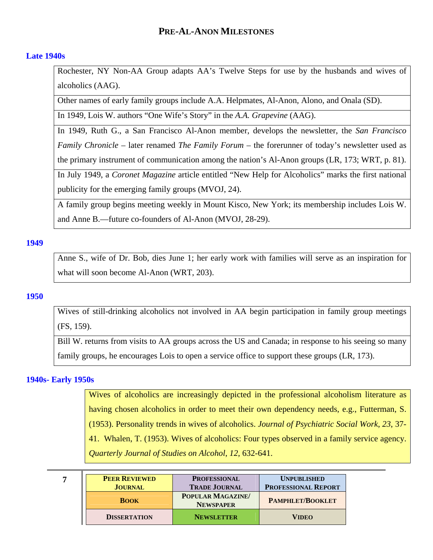## <span id="page-6-0"></span>**[Late 1940s](#page-0-0)**

Rochester, NY Non-AA Group adapts AA's Twelve Steps for use by the husbands and wives of alcoholics (AAG).

Other names of early family groups include A.A. Helpmates, Al-Anon, Alono, and Onala (SD).

In 1949, Lois W. authors "One Wife's Story" in the *A.A. Grapevine* (AAG).

In 1949, Ruth G., a San Francisco Al-Anon member, develops the newsletter, the *San Francisco Family Chronicle* – later renamed *The Family Forum* – the forerunner of today's newsletter used as the primary instrument of communication among the nation's Al-Anon groups (LR, 173; WRT, p. 81).

In July 1949, a *Coronet Magazine* article entitled "New Help for Alcoholics" marks the first national publicity for the emerging family groups (MVOJ, 24).

A family group begins meeting weekly in Mount Kisco, New York; its membership includes Lois W. and Anne B.—future co-founders of Al-Anon (MVOJ, 28-29).

## **[1949](#page-0-0)**

Anne S., wife of Dr. Bob, dies June 1; her early work with families will serve as an inspiration for what will soon become Al-Anon (WRT, 203).

### **[1950](#page-0-0)**

Wives of still-drinking alcoholics not involved in AA begin participation in family group meetings (FS, 159).

Bill W. returns from visits to AA groups across the US and Canada; in response to his seeing so many family groups, he encourages Lois to open a service office to support these groups (LR, 173).

## **[1940s- Early 1950s](#page-0-0)**

Wives of alcoholics are increasingly depicted in the professional alcoholism literature as having chosen alcoholics in order to meet their own dependency needs, e.g., Futterman, S. (1953). Personality trends in wives of alcoholics. *Journal of Psychiatric Social Work*, *23*, 37- 41. Whalen, T. (1953). Wives of alcoholics: Four types observed in a family service agency. *Quarterly Journal of Studies on Alcohol*, *12*, 632-641.

| <b>PEER REVIEWED</b> | <b>PROFESSIONAL</b>                         | <b>UNPUBLISHED</b>         |
|----------------------|---------------------------------------------|----------------------------|
| <b>JOURNAL</b>       | <b>TRADE JOURNAL</b>                        | <b>PROFESSIONAL REPORT</b> |
| <b>BOOK</b>          | <b>POPULAR MAGAZINE</b><br><b>NEWSPAPER</b> | <b>PAMPHLET/BOOKLET</b>    |
| <b>DISSERTATION</b>  | <b>NEWSLETTER</b>                           | <b>VIDEO</b>               |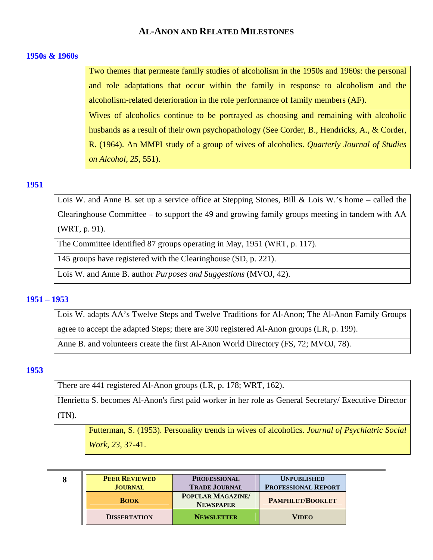## <span id="page-7-0"></span>**[1950s & 1960s](#page-0-0)**

Two themes that permeate family studies of alcoholism in the 1950s and 1960s: the personal and role adaptations that occur within the family in response to alcoholism and the alcoholism-related deterioration in the role performance of family members (AF).

Wives of alcoholics continue to be portrayed as choosing and remaining with alcoholic husbands as a result of their own psychopathology (See Corder, B., Hendricks, A., & Corder, R. (1964). An MMPI study of a group of wives of alcoholics. *Quarterly Journal of Studies on Alcohol*, *25,* 551).

### **[1951](#page-0-0)**

Lois W. and Anne B. set up a service office at Stepping Stones, Bill & Lois W.'s home – called the Clearinghouse Committee – to support the 49 and growing family groups meeting in tandem with AA (WRT, p. 91).

The Committee identified 87 groups operating in May, 1951 (WRT, p. 117).

145 groups have registered with the Clearinghouse (SD, p. 221).

Lois W. and Anne B. author *Purposes and Suggestions* (MVOJ, 42).

## **[1951 – 1953](#page-0-0)**

Lois W. adapts AA's Twelve Steps and Twelve Traditions for Al-Anon; The Al-Anon Family Groups agree to accept the adapted Steps; there are 300 registered Al-Anon groups (LR, p. 199).

Anne B. and volunteers create the first Al-Anon World Directory (FS, 72; MVOJ, 78).

## **[1953](#page-0-0)**

There are 441 registered Al-Anon groups (LR, p. 178; WRT, 162).

Henrietta S. becomes Al-Anon's first paid worker in her role as General Secretary/ Executive Director (TN).

Futterman, S. (1953). Personality trends in wives of alcoholics. *Journal of Psychiatric Social Work, 23*, 37-41.

| 8 | <b>PEER REVIEWED</b> |
|---|----------------------|
|   | <b>JOURNAL</b>       |
|   | <b>BOOK</b>          |

| <b>PEER REVIEWED</b> | <b>PROFESSIONAL</b>                   | <b>UNPUBLISHED</b>         |
|----------------------|---------------------------------------|----------------------------|
| <b>JOURNAL</b>       | <b>TRADE JOURNAL</b>                  | <b>PROFESSIONAL REPORT</b> |
| <b>BOOK</b>          | POPULAR MAGAZINE/<br><b>NEWSPAPER</b> | <b>PAMPHLET/BOOKLET</b>    |
| <b>DISSERTATION</b>  | <b>NEWSLETTER</b>                     | <b>VIDEO</b>               |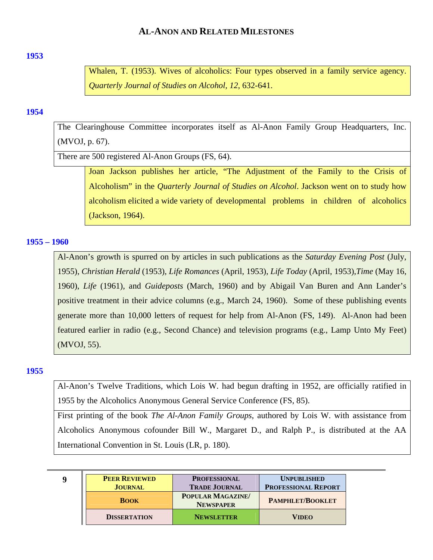### <span id="page-8-0"></span>**[1953](#page-0-0)**

Whalen, T. (1953). Wives of alcoholics: Four types observed in a family service agency. *Quarterly Journal of Studies on Alcohol, 12*, 632-641.

## **[1954](#page-0-0)**

The Clearinghouse Committee incorporates itself as Al-Anon Family Group Headquarters, Inc. (MVOJ, p. 67).

There are 500 registered Al-Anon Groups (FS, 64).

Joan Jackson publishes her article, "The Adjustment of the Family to the Crisis of Alcoholism" in the *Quarterly Journal of Studies on Alcohol*. Jackson went on to study how alcoholism elicited a wide variety of developmental problems in children of alcoholics (Jackson, 1964).

## **[1955 – 1960](#page-0-0)**

Al-Anon's growth is spurred on by articles in such publications as the *Saturday Evening Post* (July, 1955), *Christian Herald* (1953), *Life Romances* (April, 1953), *Life Today* (April, 1953),*Time* (May 16, 1960), *Life* (1961), and *Guideposts* (March, 1960) and by Abigail Van Buren and Ann Lander's positive treatment in their advice columns (e.g., March 24, 1960). Some of these publishing events generate more than 10,000 letters of request for help from Al-Anon (FS, 149). Al-Anon had been featured earlier in radio (e.g., Second Chance) and television programs (e.g., Lamp Unto My Feet) (MVOJ, 55).

## **[1955](#page-0-0)**

Al-Anon's Twelve Traditions, which Lois W. had begun drafting in 1952, are officially ratified in 1955 by the Alcoholics Anonymous General Service Conference (FS, 85).

First printing of the book *The Al-Anon Family Groups*, authored by Lois W. with assistance from Alcoholics Anonymous cofounder Bill W., Margaret D., and Ralph P., is distributed at the AA International Convention in St. Louis (LR, p. 180).

| <b>PEER REVIEWED</b> | <b>PROFESSIONAL</b>                         | <b>UNPUBLISHED</b>         |
|----------------------|---------------------------------------------|----------------------------|
| <b>JOURNAL</b>       | <b>TRADE JOURNAL</b>                        | <b>PROFESSIONAL REPORT</b> |
| <b>BOOK</b>          | <b>POPULAR MAGAZINE</b><br><b>NEWSPAPER</b> | <b>PAMPHLET/BOOKLET</b>    |
| <b>DISSERTATION</b>  | <b>NEWSLETTER</b>                           | <b>VIDEO</b>               |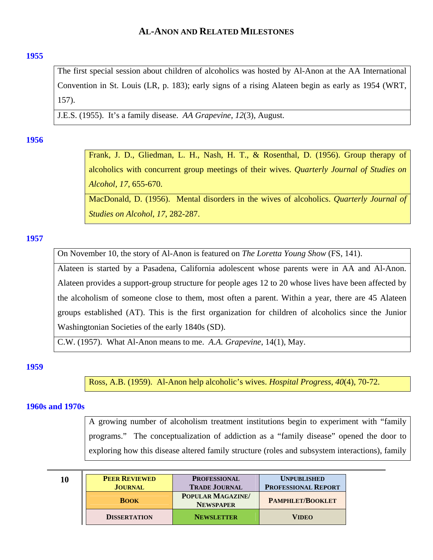## <span id="page-9-0"></span>**[1955](#page-0-0)**

The first special session about children of alcoholics was hosted by Al-Anon at the AA International Convention in St. Louis (LR, p. 183); early signs of a rising Alateen begin as early as 1954 (WRT, 157).

J.E.S. (1955). It's a family disease. *AA Grapevine*, *12*(3), August.

## **[1956](#page-0-0)**

Frank, J. D., Gliedman, L. H., Nash, H. T., & Rosenthal, D. (1956). Group therapy of alcoholics with concurrent group meetings of their wives. *Quarterly Journal of Studies on Alcohol, 17*, 655-670.

MacDonald, D. (1956). Mental disorders in the wives of alcoholics. *Quarterly Journal of Studies on Alcohol*, *17*, 282-287.

## **[1957](#page-0-0)**

On November 10, the story of Al-Anon is featured on *The Loretta Young Show* (FS, 141).

Alateen is started by a Pasadena, California adolescent whose parents were in AA and Al-Anon. Alateen provides a support-group structure for people ages 12 to 20 whose lives have been affected by the alcoholism of someone close to them, most often a parent. Within a year, there are 45 Alateen groups established (AT). This is the first organization for children of alcoholics since the Junior Washingtonian Societies of the early 1840s (SD).

C.W. (1957). What Al-Anon means to me. *A.A. Grapevine*, 14(1), May.

## **[1959](#page-0-0)**

Ross, A.B. (1959). Al-Anon help alcoholic's wives. *Hospital Progress*, *40*(4), 70-72.

## **[1960s and 1970s](#page-0-0)**

A growing number of alcoholism treatment institutions begin to experiment with "family programs." The conceptualization of addiction as a "family disease" opened the door to exploring how this disease altered family structure (roles and subsystem interactions), family

| 10 | <b>PEER REVIEWED</b><br><b>JOURNAL</b> | <b>PROFESSIONAL</b><br><b>TRADE JOURNAL</b> | <b>UNPUBLISHED</b><br><b>PROFESSIONAL REPORT</b> |
|----|----------------------------------------|---------------------------------------------|--------------------------------------------------|
|    | <b>BOOK</b>                            | <b>POPULAR MAGAZINE</b><br><b>NEWSPAPER</b> | <b>PAMPHLET/BOOKLET</b>                          |
|    | <b>DISSERTATION</b>                    | <b>NEWSLETTER</b>                           | <b>VIDEO</b>                                     |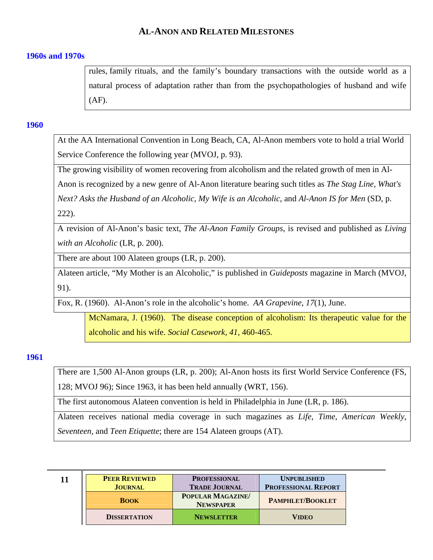## <span id="page-10-0"></span>**[1960s and 1970s](#page-0-0)**

rules, family rituals, and the family's boundary transactions with the outside world as a natural process of adaptation rather than from the psychopathologies of husband and wife (AF).

## **[1960](#page-0-0)**

At the AA International Convention in Long Beach, CA, Al-Anon members vote to hold a trial World Service Conference the following year (MVOJ, p. 93).

The growing visibility of women recovering from alcoholism and the related growth of men in Al-

Anon is recognized by a new genre of Al-Anon literature bearing such titles as *The Stag Line*, *What's* 

*Next? Asks the Husband of an Alcoholic*, *My Wife is an Alcoholic*, and *Al-Anon IS for Men* (SD, p.

222).

A revision of Al-Anon's basic text, *The Al-Anon Family Groups,* is revised and published as *Living with an Alcoholic* (LR, p. 200).

There are about 100 Alateen groups (LR, p. 200).

Alateen article, "My Mother is an Alcoholic," is published in *Guideposts* magazine in March (MVOJ, 91).

Fox, R. (1960). Al-Anon's role in the alcoholic's home. *AA Grapevine*, *17*(1), June.

McNamara, J. (1960). The disease conception of alcoholism: Its therapeutic value for the alcoholic and his wife. *Social Casework, 41*, 460-465.

## **[1961](#page-0-0)**

There are 1,500 Al-Anon groups (LR, p. 200); Al-Anon hosts its first World Service Conference (FS, 128; MVOJ 96); Since 1963, it has been held annually (WRT, 156).

The first autonomous Alateen convention is held in Philadelphia in June (LR, p. 186).

Alateen receives national media coverage in such magazines as *Life, Time, American Weekly, Seventeen,* and *Teen Etiquette*; there are 154 Alateen groups (AT).

| 11 | <b>PEER REVIEWED</b> | <b>PROFESSIONAL</b>                         | <b>UNPUBLISHED</b>         |
|----|----------------------|---------------------------------------------|----------------------------|
|    | <b>JOURNAL</b>       | <b>TRADE JOURNAL</b>                        | <b>PROFESSIONAL REPORT</b> |
|    | <b>BOOK</b>          | <b>POPULAR MAGAZINE</b><br><b>NEWSPAPER</b> | <b>PAMPHLET/BOOKLET</b>    |
|    | <b>DISSERTATION</b>  | <b>NEWSLETTER</b>                           | <b>VIDEO</b>               |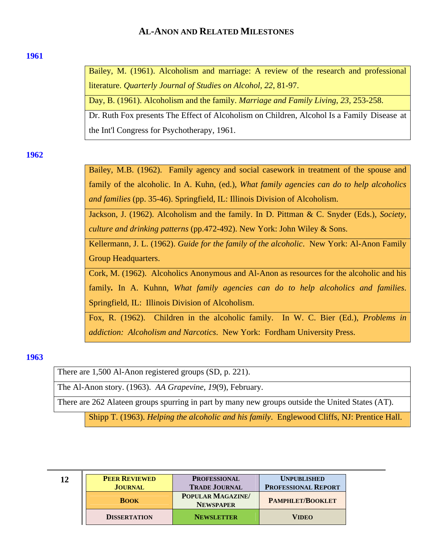#### <span id="page-11-0"></span>**[1961](#page-0-0)**

Bailey, M. (1961). Alcoholism and marriage: A review of the research and professional literature. *Quarterly Journal of Studies on Alcohol, 22*, 81-97.

Day, B. (1961). Alcoholism and the family. *Marriage and Family Living*, *23*, 253-258.

Dr. Ruth Fox presents The Effect of Alcoholism on Children, Alcohol Is a Family Disease at the Int'l Congress for Psychotherapy, 1961.

**[1962](#page-0-0)** 

Bailey, M.B. (1962). Family agency and social casework in treatment of the spouse and family of the alcoholic. In A. Kuhn, (ed.), *What family agencies can do to help alcoholics and families* (pp. 35-46). Springfield, IL: Illinois Division of Alcoholism.

Jackson, J. (1962). Alcoholism and the family. In D. Pittman & C. Snyder (Eds.), *Society, culture and drinking patterns* (pp.472-492). New York: John Wiley & Sons.

Kellermann, J. L. (1962). *Guide for the family of the alcoholic*. New York: Al-Anon Family Group Headquarters.

Cork, M. (1962). Alcoholics Anonymous and Al-Anon as resources for the alcoholic and his family*.* In A. Kuhnn, *What family agencies can do to help alcoholics and families*. Springfield, IL: Illinois Division of Alcoholism.

Fox, R. (1962). Children in the alcoholic family. In W. C. Bier (Ed.), *Problems in addiction: Alcoholism and Narcotics*. New York: Fordham University Press.

## **[1963](#page-0-0)**

There are 1,500 Al-Anon registered groups (SD, p. 221).

The Al-Anon story. (1963). *AA Grapevine, 19*(9), February.

There are 262 Alateen groups spurring in part by many new groups outside the United States (AT).

Shipp T. (1963). *Helping the alcoholic and his family*. Englewood Cliffs, NJ: Prentice Hall.

| 12 | <b>PEER REVIEWED</b> | <b>PROFESSIONAL</b>                         | <b>UNPUBLISHED</b>         |
|----|----------------------|---------------------------------------------|----------------------------|
|    | <b>JOURNAL</b>       | <b>TRADE JOURNAL</b>                        | <b>PROFESSIONAL REPORT</b> |
|    | <b>BOOK</b>          | <b>POPULAR MAGAZINE</b><br><b>NEWSPAPER</b> | <b>PAMPHLET/BOOKLET</b>    |
|    | <b>DISSERTATION</b>  | <b>NEWSLETTER</b>                           | VIDEO                      |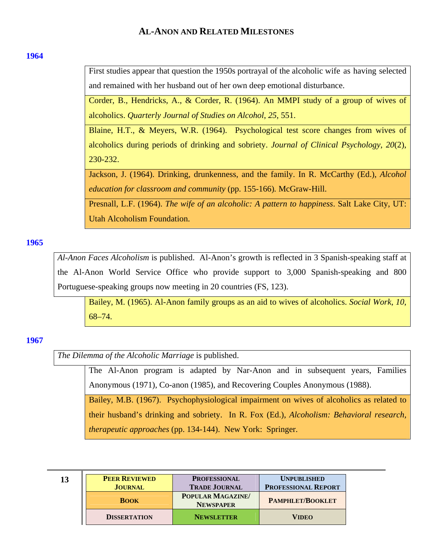### <span id="page-12-0"></span>**[1964](#page-0-0)**

First studies appear that question the 1950s portrayal of the alcoholic wife as having selected and remained with her husband out of her own deep emotional disturbance.

Corder, B., Hendricks, A., & Corder, R. (1964). An MMPI study of a group of wives of alcoholics. *Quarterly Journal of Studies on Alcohol*, *25*, 551.

Blaine, H.T., & Meyers, W.R. (1964). Psychological test score changes from wives of alcoholics during periods of drinking and sobriety. *Journal of Clinical Psychology*, *20*(2), 230-232.

Jackson, J. (1964). Drinking, drunkenness, and the family. In R. McCarthy (Ed.), *Alcohol education for classroom and community* (pp. 155-166)*.* McGraw-Hill.

Presnall, L.F. (1964). *The wife of an alcoholic: A pattern to happiness*. Salt Lake City, UT: Utah Alcoholism Foundation.

### **[1965](#page-0-0)**

*Al-Anon Faces Alcoholism* is published. Al-Anon's growth is reflected in 3 Spanish-speaking staff at the Al-Anon World Service Office who provide support to 3,000 Spanish-speaking and 800 Portuguese-speaking groups now meeting in 20 countries (FS, 123).

Bailey, M. (1965). Al-Anon family groups as an aid to wives of alcoholics. *Social Work*, *10*, 68–74.

## **[1967](#page-0-0)**

*The Dilemma of the Alcoholic Marriage* is published.

The Al-Anon program is adapted by Nar-Anon and in subsequent years, Families Anonymous (1971), Co-anon (1985), and Recovering Couples Anonymous (1988).

Bailey, M.B. (1967). Psychophysiological impairment on wives of alcoholics as related to their husband's drinking and sobriety. In R. Fox (Ed.), *Alcoholism: Behavioral research, therapeutic approaches* (pp. 134-144). New York: Springer.

| 13 | <b>PEER REVIEWED</b><br><b>JOURNAL</b> | <b>PROFESSIONAL</b><br><b>TRADE JOURNAL</b> | <b>UNPUBLISHED</b><br><b>PROFESSIONAL REPORT</b> |
|----|----------------------------------------|---------------------------------------------|--------------------------------------------------|
|    | <b>BOOK</b>                            | POPULAR MAGAZINE/<br><b>NEWSPAPER</b>       | <b>PAMPHLET/BOOKLET</b>                          |
|    | <b>DISSERTATION</b>                    | <b>NEWSLETTER</b>                           | VIDEO                                            |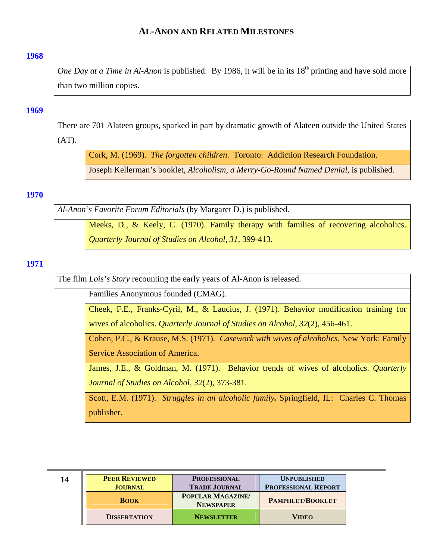#### <span id="page-13-0"></span>**[1968](#page-0-0)**

*One Day at a Time in Al-Anon* is published. By 1986, it will be in its  $18<sup>th</sup>$  printing and have sold more than two million copies.

### **[1969](#page-0-0)**

There are 701 Alateen groups, sparked in part by dramatic growth of Alateen outside the United States  $(AT).$ 

Cork, M. (1969). *The forgotten children*. Toronto: Addiction Research Foundation.

Joseph Kellerman's booklet, *Alcoholism, a Merry-Go-Round Named Denial*, is published.

# **[1970](#page-0-0)**

*Al-Anon's Favorite Forum Editorials* (by Margaret D.) is published.

Meeks, D., & Keely, C. (1970). Family therapy with families of recovering alcoholics. *Quarterly Journal of Studies on Alcohol*, *31*, 399-413.

### **[1971](#page-0-0)**

The film *Lois's Story* recounting the early years of Al-Anon is released.

Families Anonymous founded (CMAG).

Cheek, F.E., Franks-Cyril, M., & Laucius, J. (1971). Behavior modification training for wives of alcoholics. *Quarterly Journal of Studies on Alcohol*, *32*(2), 456-461.

Cohen, P.C., & Krause, M.S. (1971). *Casework with wives of alcoholics.* New York: Family Service Association of America.

James, J.E., & Goldman, M. (1971). Behavior trends of wives of alcoholics. *Quarterly Journal of Studies on Alcohol*, *32*(2), 373-381.

Scott, E.M. (1971). *Struggles in an alcoholic family.* Springfield, IL: Charles C. Thomas publisher.

| 14 | <b>PEER REVIEWED</b><br><b>JOURNAL</b> | <b>PROFESSIONAL</b><br><b>TRADE JOURNAL</b> | <b>UNPUBLISHED</b><br><b>PROFESSIONAL REPORT</b> |
|----|----------------------------------------|---------------------------------------------|--------------------------------------------------|
|    | <b>BOOK</b>                            | <b>POPULAR MAGAZINE</b><br><b>NEWSPAPER</b> | <b>PAMPHLET/BOOKLET</b>                          |
|    | <b>DISSERTATION</b>                    | <b>NEWSLETTER</b>                           | Video                                            |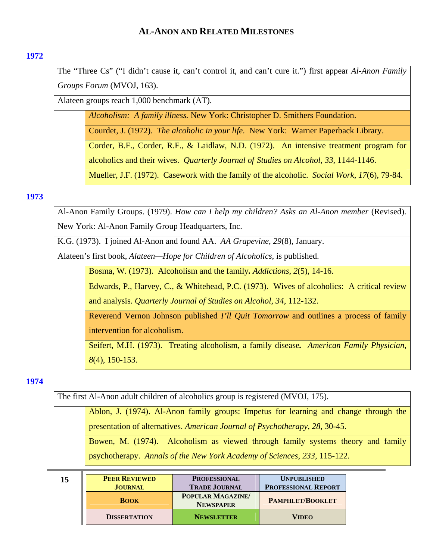## <span id="page-14-0"></span>**[1972](#page-0-0)**

The "Three Cs" ("I didn't cause it, can't control it, and can't cure it.") first appear *Al-Anon Family Groups Forum* (MVOJ, 163).

Alateen groups reach 1,000 benchmark (AT).

*Alcoholism: A family illness.* New York: Christopher D. Smithers Foundation.

Courdet, J. (1972). *The alcoholic in your life*. New York: Warner Paperback Library.

Corder, B.F., Corder, R.F., & Laidlaw, N.D. (1972). An intensive treatment program for alcoholics and their wives. *Quarterly Journal of Studies on Alcohol*, *33*, 1144-1146.

Mueller, J.F. (1972). Casework with the family of the alcoholic. *Social Work*, *17*(6), 79-84.

## **[1973](#page-0-0)**

Al-Anon Family Groups. (1979). *How can I help my children? Asks an Al-Anon member* (Revised). New York: Al-Anon Family Group Headquarters, Inc.

K.G. (1973). I joined Al-Anon and found AA. *AA Grapevine*, *29*(8), January.

Alateen's first book, *Alateen—Hope for Children of Alcoholics,* is published.

Bosma, W. (1973). Alcoholism and the family*. Addictions*, *2*(5), 14-16.

Edwards, P., Harvey, C., & Whitehead, P.C. (1973). Wives of alcoholics: A critical review and analysis. *Quarterly Journal of Studies on Alcohol*, *34*, 112-132.

Reverend Vernon Johnson published *I'll Quit Tomorrow* and outlines a process of family intervention for alcoholism.

Seifert, M.H. (1973). Treating alcoholism, a family disease*. American Family Physician*, *8*(4), 150-153.

## **[1974](#page-0-0)**

The first Al-Anon adult children of alcoholics group is registered (MVOJ, 175).

Ablon, J. (1974). Al-Anon family groups: Impetus for learning and change through the presentation of alternatives. *American Journal of Psychotherapy*, *28*, 30-45.

Bowen, M. (1974). Alcoholism as viewed through family systems theory and family psychotherapy. *Annals of the New York Academy of Sciences*, *233*, 115-122.

| 15 | <b>PEER REVIEWED</b> | <b>PROFESSIONAL</b>                         | <b>UNPUBLISHED</b>         |
|----|----------------------|---------------------------------------------|----------------------------|
|    | <b>JOURNAL</b>       | <b>TRADE JOURNAL</b>                        | <b>PROFESSIONAL REPORT</b> |
|    | <b>BOOK</b>          | <b>POPULAR MAGAZINE</b><br><b>NEWSPAPER</b> | <b>PAMPHLET/BOOKLET</b>    |
|    | <b>DISSERTATION</b>  | <b>NEWSLETTER</b>                           | <b>VIDEO</b>               |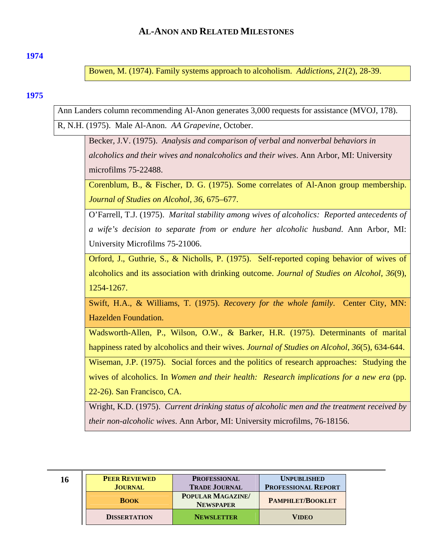### <span id="page-15-0"></span>**[1974](#page-0-0)**

Bowen, M. (1974). Family systems approach to alcoholism. *Addictions*, *21*(2), 28-39.

## **[1975](#page-0-0)**

Ann Landers column recommending Al-Anon generates 3,000 requests for assistance (MVOJ, 178).

R, N.H. (1975). Male Al-Anon. *AA Grapevine*, October.

Becker, J.V. (1975). *Analysis and comparison of verbal and nonverbal behaviors in alcoholics and their wives and nonalcoholics and their wives*. Ann Arbor, MI: University microfilms 75-22488.

Corenblum, B., & Fischer, D. G. (1975). Some correlates of Al-Anon group membership. *Journal of Studies on Alcohol*, *36*, 675–677.

O'Farrell, T.J. (1975). *Marital stability among wives of alcoholics: Reported antecedents of a wife's decision to separate from or endure her alcoholic husband*. Ann Arbor, MI: University Microfilms 75-21006.

Orford, J., Guthrie, S., & Nicholls, P. (1975). Self-reported coping behavior of wives of alcoholics and its association with drinking outcome. *Journal of Studies on Alcohol*, *36*(9), 1254-1267.

Swift, H.A., & Williams, T. (1975). *Recovery for the whole family*. Center City, MN: Hazelden Foundation.

Wadsworth-Allen, P., Wilson, O.W., & Barker, H.R. (1975). Determinants of marital happiness rated by alcoholics and their wives. *Journal of Studies on Alcohol*, *36*(5), 634-644.

Wiseman, J.P. (1975). Social forces and the politics of research approaches: Studying the wives of alcoholics. In *Women and their health: Research implications for a new era* (pp. 22-26). San Francisco, CA.

Wright, K.D. (1975). *Current drinking status of alcoholic men and the treatment received by their non-alcoholic wives*. Ann Arbor, MI: University microfilms, 76-18156.

| 16 | <b>PEER REVIEWED</b><br><b>JOURNAL</b> | <b>PROFESSIONAL</b><br><b>TRADE JOURNAL</b> | <b>UNPUBLISHED</b><br><b>PROFESSIONAL REPORT</b> |
|----|----------------------------------------|---------------------------------------------|--------------------------------------------------|
|    | <b>BOOK</b>                            | POPULAR MAGAZINE/<br><b>NEWSPAPER</b>       | <b>PAMPHLET/BOOKLET</b>                          |
|    | <b>DISSERTATION</b>                    | <b>NEWSLETTER</b>                           | <b>VIDEO</b>                                     |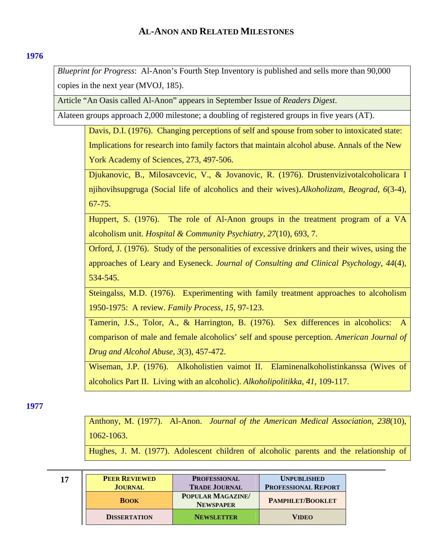## <span id="page-16-0"></span>**[1976](#page-0-0)**

*Blueprint for Progress*: Al-Anon's Fourth Step Inventory is published and sells more than 90,000 copies in the next year (MVOJ, 185).

Article "An Oasis called Al-Anon" appears in September Issue of *Readers Digest*.

Alateen groups approach 2,000 milestone; a doubling of registered groups in five years (AT).

Davis, D.I. (1976). Changing perceptions of self and spouse from sober to intoxicated state: Implications for research into family factors that maintain alcohol abuse. Annals of the New York Academy of Sciences, 273, 497-506.

Djukanovic, B., Milosavcevic, V., & Jovanovic, R. (1976). Drustenvizivotalcoholicara I njihovihsupgruga (Social life of alcoholics and their wives).*Alkoholizam, Beograd*, *6*(3-4), 67-75.

Huppert, S. (1976). The role of Al-Anon groups in the treatment program of a VA alcoholism unit. *Hospital & Community Psychiatry*, *27*(10), 693, 7.

Orford, J. (1976). Study of the personalities of excessive drinkers and their wives, using the approaches of Leary and Eyseneck. *Journal of Consulting and Clinical Psychology*, *44*(4), 534-545.

Steingalss, M.D. (1976). Experimenting with family treatment approaches to alcoholism 1950-1975: A review. *Family Process*, *15*, 97-123.

Tamerin, J.S., Tolor, A., & Harrington, B. (1976). Sex differences in alcoholics: comparison of male and female alcoholics' self and spouse perception. *American Journal of Drug and Alcohol Abuse*, *3*(3), 457-472.

Wiseman, J.P. (1976). Alkoholistien vaimot II. Elaminenalkoholistinkanssa (Wives of alcoholics Part II. Living with an alcoholic). *Alkoholipolitikka, 41*, 109-117.

**[1977](#page-0-0)** 

Anthony, M. (1977). Al-Anon. *Journal of the American Medical Association*, *238*(10), 1062-1063.

Hughes, J. M. (1977). Adolescent children of alcoholic parents and the relationship of

| ٧ | ۹ |
|---|---|
|   |   |

| 17 | <b>PEER REVIEWED</b> | <b>PROFESSIONAL</b>                         | <b>UNPUBLISHED</b>         |
|----|----------------------|---------------------------------------------|----------------------------|
|    | <b>JOURNAL</b>       | <b>TRADE JOURNAL</b>                        | <b>PROFESSIONAL REPORT</b> |
|    | <b>BOOK</b>          | <b>POPULAR MAGAZINE</b><br><b>NEWSPAPER</b> | <b>PAMPHLET/BOOKLET</b>    |
|    | <b>DISSERTATION</b>  | <b>NEWSLETTER</b>                           | <b>VIDEO</b>               |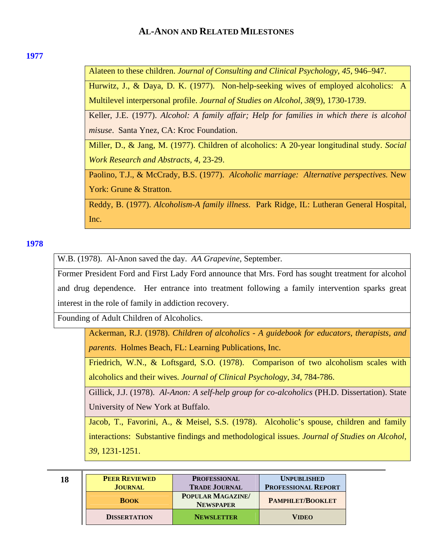### <span id="page-17-0"></span>**[1977](#page-0-0)**

Alateen to these children. *Journal of Consulting and Clinical Psychology*, *45*, 946–947.

Hurwitz, J., & Daya, D. K. (1977). Non-help-seeking wives of employed alcoholics: A Multilevel interpersonal profile. *Journal of Studies on Alcohol*, *38*(9), 1730-1739.

Keller, J.E. (1977). *Alcohol: A family affair; Help for families in which there is alcohol misuse*. Santa Ynez, CA: Kroc Foundation.

Miller, D., & Jang, M. (1977). Children of alcoholics: A 20-year longitudinal study. *Social Work Research and Abstracts, 4*, 23-29.

Paolino, T.J., & McCrady, B.S. (1977). *Alcoholic marriage: Alternative perspectives.* New York: Grune & Stratton.

Reddy, B. (1977). *Alcoholism-A family illness*. Park Ridge, IL: Lutheran General Hospital, Inc.

## **[1978](#page-0-0)**

W.B. (1978). Al-Anon saved the day. *AA Grapevine*, September.

Former President Ford and First Lady Ford announce that Mrs. Ford has sought treatment for alcohol and drug dependence. Her entrance into treatment following a family intervention sparks great interest in the role of family in addiction recovery.

Founding of Adult Children of Alcoholics.

Ackerman, R.J. (1978). *Children of alcoholics - A guidebook for educators, therapists, and parents*. Holmes Beach, FL: Learning Publications, Inc.

Friedrich, W.N., & Loftsgard, S.O. (1978). Comparison of two alcoholism scales with alcoholics and their wives*. Journal of Clinical Psychology*, *34*, 784-786.

Gillick, J.J. (1978). *Al-Anon: A self-help group for co-alcoholics* (PH.D. Dissertation). State University of New York at Buffalo.

Jacob, T., Favorini, A., & Meisel, S.S. (1978). Alcoholic's spouse, children and family interactions: Substantive findings and methodological issues. *Journal of Studies on Alcohol*, *39*, 1231-1251.

| ٧ |             |
|---|-------------|
|   | I<br>v<br>× |

| 18 | <b>PEER REVIEWED</b><br><b>JOURNAL</b> | <b>PROFESSIONAL</b><br><b>TRADE JOURNAL</b> | <b>UNPUBLISHED</b><br><b>PROFESSIONAL REPORT</b> |
|----|----------------------------------------|---------------------------------------------|--------------------------------------------------|
|    | <b>BOOK</b>                            | POPULAR MAGAZINE/<br><b>NEWSPAPER</b>       | <b>PAMPHLET/BOOKLET</b>                          |
|    | <b>DISSERTATION</b>                    | <b>NEWSLETTER</b>                           | <b>VIDEO</b>                                     |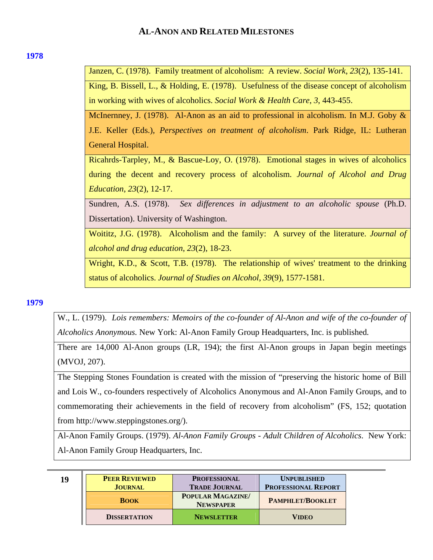### <span id="page-18-0"></span>**[1978](#page-0-0)**

Janzen, C. (1978). Family treatment of alcoholism: A review. *Social Work*, *23*(2), 135-141.

King, B. Bissell, L., & Holding, E. (1978). Usefulness of the disease concept of alcoholism in working with wives of alcoholics. *Social Work & Health Care*, *3*, 443-455.

McInernney, J. (1978). Al-Anon as an aid to professional in alcoholism. In M.J. Goby & J.E. Keller (Eds.)*, Perspectives on treatment of alcoholism*. Park Ridge, IL: Lutheran General Hospital.

Ricahrds-Tarpley, M., & Bascue-Loy, O. (1978). Emotional stages in wives of alcoholics during the decent and recovery process of alcoholism. *Journal of Alcohol and Drug Education*, *23*(2), 12-17.

Sundren, A.S. (1978). *Sex differences in adjustment to an alcoholic spouse* (Ph.D. Dissertation). University of Washington.

Woititz, J.G. (1978). Alcoholism and the family: A survey of the literature. *Journal of alcohol and drug education*, *23*(2), 18-23.

Wright, K.D., & Scott, T.B. (1978). The relationship of wives' treatment to the drinking status of alcoholics. *Journal of Studies on Alcohol*, *39*(9), 1577-1581.

## **[1979](#page-0-0)**

W., L. (1979). *Lois remembers: Memoirs of the co-founder of Al-Anon and wife of the co-founder of Alcoholics Anonymous.* New York: Al-Anon Family Group Headquarters, Inc. is published*.*

There are 14,000 Al-Anon groups (LR, 194); the first Al-Anon groups in Japan begin meetings (MVOJ, 207).

The Stepping Stones Foundation is created with the mission of "preserving the historic home of Bill and Lois W., co-founders respectively of Alcoholics Anonymous and Al-Anon Family Groups, and to commemorating their achievements in the field of recovery from alcoholism" (FS, 152; quotation from http://www.steppingstones.org/).

Al-Anon Family Groups. (1979). *Al-Anon Family Groups - Adult Children of Alcoholics*. New York: Al-Anon Family Group Headquarters, Inc.

| 19 | <b>PEER REVIEWED</b><br><b>JOURNAL</b> | <b>PROFESSIONAL</b><br><b>TRADE JOURNAL</b> | <b>UNPUBLISHED</b><br><b>PROFESSIONAL REPORT</b> |
|----|----------------------------------------|---------------------------------------------|--------------------------------------------------|
|    | <b>BOOK</b>                            | <b>POPULAR MAGAZINE</b><br><b>NEWSPAPER</b> | PAMPHLET/BOOKLET                                 |
|    | <b>DISSERTATION</b>                    | <b>NEWSLETTER</b>                           | <b>VIDEO</b>                                     |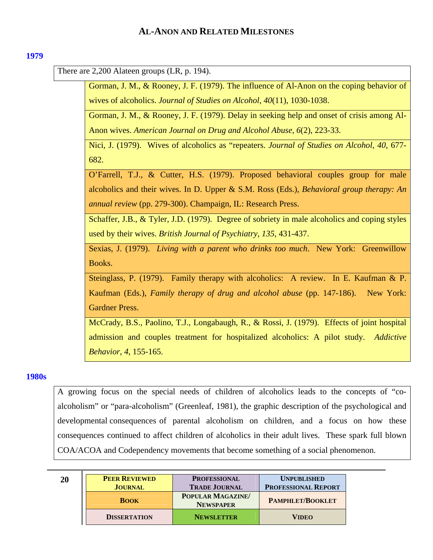### <span id="page-19-0"></span>**[1979](#page-0-0)**

There are 2,200 Alateen groups (LR, p. 194).

Gorman, J. M., & Rooney, J. F. (1979). The influence of Al-Anon on the coping behavior of wives of alcoholics. *Journal of Studies on Alcohol*, *40*(11), 1030-1038.

Gorman, J. M., & Rooney, J. F. (1979). Delay in seeking help and onset of crisis among Al-Anon wives. *American Journal on Drug and Alcohol Abuse*, *6*(2), 223-33.

Nici, J. (1979). Wives of alcoholics as "repeaters. *Journal of Studies on Alcohol*, *40*, 677- 682.

O'Farrell, T.J., & Cutter, H.S. (1979). Proposed behavioral couples group for male alcoholics and their wives. In D. Upper & S.M. Ross (Eds.), *Behavioral group therapy: An annual review* (pp. 279-300). Champaign, IL: Research Press.

Schaffer, J.B., & Tyler, J.D. (1979). Degree of sobriety in male alcoholics and coping styles used by their wives. *British Journal of Psychiatry*, *135*, 431-437.

Sexias, J. (1979). *Living with a parent who drinks too much*. New York: Greenwillow Books.

Steinglass, P. (1979). Family therapy with alcoholics: A review. In E. Kaufman & P. Kaufman (Eds.), *Family therapy of drug and alcohol abuse* (pp. 147-186). New York: Gardner Press.

McCrady, B.S., Paolino, T.J., Longabaugh, R., & Rossi, J. (1979). Effects of joint hospital admission and couples treatment for hospitalized alcoholics: A pilot study. *Addictive Behavior*, *4*, 155-165.

## **[1980s](#page-0-0)**

A growing focus on the special needs of children of alcoholics leads to the concepts of "coalcoholism" or "para-alcoholism" (Greenleaf, 1981), the graphic description of the psychological and developmental consequences of parental alcoholism on children, and a focus on how these consequences continued to affect children of alcoholics in their adult lives. These spark full blown COA/ACOA and Codependency movements that become something of a social phenomenon.

| 20 | <b>PEER REVIEWED</b> | <b>PROFESSIONAL</b>                   | <b>UNPUBLISHED</b>         |
|----|----------------------|---------------------------------------|----------------------------|
|    | <b>JOURNAL</b>       | <b>TRADE JOURNAL</b>                  | <b>PROFESSIONAL REPORT</b> |
|    | <b>BOOK</b>          | POPULAR MAGAZINE/<br><b>NEWSPAPER</b> | <b>PAMPHLET/BOOKLET</b>    |
|    | <b>DISSERTATION</b>  | <b>NEWSLETTER</b>                     | <b>VIDEO</b>               |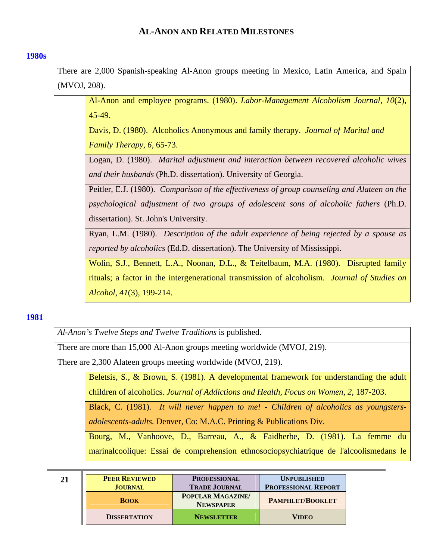## <span id="page-20-0"></span>**[1980s](#page-0-0)**

There are 2,000 Spanish-speaking Al-Anon groups meeting in Mexico, Latin America, and Spain (MVOJ, 208).

Al-Anon and employee programs. (1980). *Labor-Management Alcoholism Journal*, *10*(2), 45-49.

Davis, D. (1980). Alcoholics Anonymous and family therapy. *Journal of Marital and Family Therapy*, *6,* 65-73.

Logan, D. (1980). *Marital adjustment and interaction between recovered alcoholic wives and their husbands* (Ph.D. dissertation). University of Georgia.

Peitler, E.J. (1980). *Comparison of the effectiveness of group counseling and Alateen on the psychological adjustment of two groups of adolescent sons of alcoholic fathers* (Ph.D. dissertation). St. John's University.

Ryan, L.M. (1980). *Description of the adult experience of being rejected by a spouse as reported by alcoholics* (Ed.D. dissertation). The University of Mississippi.

Wolin, S.J., Bennett, L.A., Noonan, D.L., & Teitelbaum, M.A. (1980). Disrupted family rituals; a factor in the intergenerational transmission of alcoholism. *Journal of Studies on Alcohol*, *41*(3), 199-214.

### **[1981](#page-0-0)**

*Al-Anon's Twelve Steps and Twelve Traditions* is published.

There are more than 15,000 Al-Anon groups meeting worldwide (MVOJ, 219).

There are 2,300 Alateen groups meeting worldwide (MVOJ, 219).

Beletsis, S., & Brown, S. (1981). A developmental framework for understanding the adult children of alcoholics. *Journal of Addictions and Health, Focus on Women*, *2*, 187-203.

Black, C. (1981). *It will never happen to me! - Children of alcoholics as youngstersadolescents-adults.* Denver, Co: M.A.C. Printing & Publications Div.

Bourg, M., Vanhoove, D., Barreau, A., & Faidherbe, D. (1981). La femme du marinalcoolique: Essai de comprehension ethnosociopsychiatrique de l'alcoolismedans le

| 21 | <b>PEER REVIEWED</b><br><b>JOURNAL</b> | <b>PROFESSIONAL</b><br><b>TRADE JOURNAL</b> | <b>UNPUBLISHED</b><br><b>PROFESSIONAL REPORT</b> |
|----|----------------------------------------|---------------------------------------------|--------------------------------------------------|
|    | <b>BOOK</b>                            | POPULAR MAGAZINE/<br><b>NEWSPAPER</b>       | <b>PAMPHLET/BOOKLET</b>                          |
|    | <b>DISSERTATION</b>                    | <b>NEWSLETTER</b>                           | <b>VIDEO</b>                                     |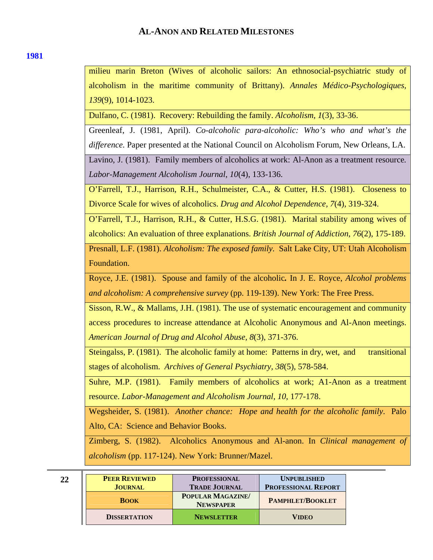| ٠ | ×<br>٠ |  |
|---|--------|--|

milieu marin Breton (Wives of alcoholic sailors: An ethnosocial-psychiatric study of alcoholism in the maritime community of Brittany). *Annales Médico-Psychologiques, 139*(9), 1014-1023.

Dulfano, C. (1981). Recovery: Rebuilding the family. *Alcoholism*, *1*(3), 33-36.

Greenleaf, J. (1981, April). *Co-alcoholic para-alcoholic: Who's who and what's the difference.* Paper presented at the National Council on Alcoholism Forum, New Orleans, LA.

Lavino, J. (1981). Family members of alcoholics at work: Al-Anon as a treatment resource*. Labor-Management Alcoholism Journal*, *10*(4), 133-136.

O'Farrell, T.J., Harrison, R.H., Schulmeister, C.A., & Cutter, H.S. (1981). Closeness to Divorce Scale for wives of alcoholics. *Drug and Alcohol Dependence, 7*(4), 319-324.

O'Farrell, T.J., Harrison, R.H., & Cutter, H.S.G. (1981). Marital stability among wives of alcoholics: An evaluation of three explanations. *British Journal of Addiction*, *76*(2), 175-189.

Presnall, L.F. (1981). *Alcoholism: The exposed family*. Salt Lake City, UT: Utah Alcoholism Foundation.

Royce, J.E. (1981). Spouse and family of the alcoholic*.* In J. E. Royce, *Alcohol problems and alcoholism: A comprehensive survey* (pp. 119-139). New York: The Free Press.

Sisson, R.W., & Mallams, J.H. (1981). The use of systematic encouragement and community access procedures to increase attendance at Alcoholic Anonymous and Al-Anon meetings. *American Journal of Drug and Alcohol Abuse, 8*(3), 371-376.

Steingalss, P. (1981). The alcoholic family at home: Patterns in dry, wet, and transitional stages of alcoholism. *Archives of General Psychiatry, 38*(5), 578-584.

Suhre, M.P. (1981). Family members of alcoholics at work; A1-Anon as a treatment resource. *Labor-Management and Alcoholism Journal, 10*, 177-178.

Wegsheider, S. (1981). *Another chance: Hope and health for the alcoholic family*. Palo Alto, CA: Science and Behavior Books.

Zimberg, S. (1982). Alcoholics Anonymous and Al-anon. In *Clinical management of alcoholism* (pp. 117-124). New York: Brunner/Mazel.

| 22 | <b>PEER REVIEWED</b><br><b>JOURNAL</b> | <b>PROFESSIONAL</b><br><b>TRADE JOURNAL</b> | <b>UNPUBLISHED</b><br><b>PROFESSIONAL REPORT</b> |
|----|----------------------------------------|---------------------------------------------|--------------------------------------------------|
|    | <b>BOOK</b>                            | <b>POPULAR MAGAZINE</b><br><b>NEWSPAPER</b> | <b>PAMPHLET/BOOKLET</b>                          |
|    | <b>DISSERTATION</b>                    | <b>NEWSLETTER</b>                           | <b>VIDEO</b>                                     |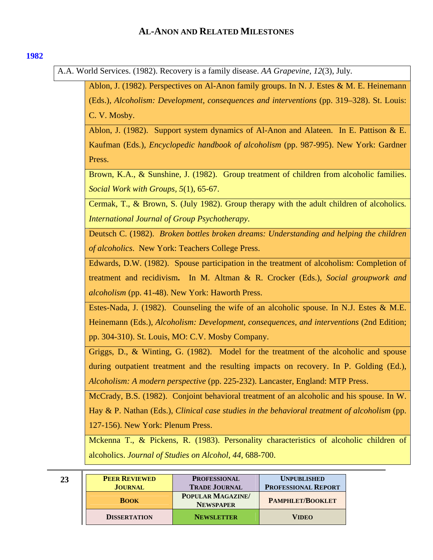### <span id="page-22-0"></span>**[1982](#page-0-0)**

A.A. World Services. (1982). Recovery is a family disease. *AA Grapevine, 12*(3), July*.* 

Ablon, J. (1982). Perspectives on Al-Anon family groups. In N. J. Estes & M. E. Heinemann (Eds.), *Alcoholism: Development, consequences and interventions* (pp. 319–328). St. Louis: C. V. Mosby. Ablon, J. (1982). Support system dynamics of Al-Anon and Alateen. In E. Pattison & E.

Kaufman (Eds*.*)*, Encyclopedic handbook of alcoholism* (pp. 987-995). New York: Gardner Press.

Brown, K.A., & Sunshine, J. (1982). Group treatment of children from alcoholic families. *Social Work with Groups, 5*(1), 65-67.

Cermak, T., & Brown, S. (July 1982). Group therapy with the adult children of alcoholics*. International Journal of Group Psychotherapy*.

Deutsch C. (1982). *Broken bottles broken dreams: Understanding and helping the children of alcoholics*. New York: Teachers College Press.

Edwards, D.W. (1982). Spouse participation in the treatment of alcoholism: Completion of treatment and recidivism**.** In M. Altman & R. Crocker (Eds.), *Social groupwork and alcoholism* (pp. 41-48). New York: Haworth Press.

Estes-Nada, J. (1982). Counseling the wife of an alcoholic spouse. In N.J. Estes & M.E. Heinemann (Eds.), *Alcoholism: Development, consequences, and interventions* (2nd Edition; pp. 304-310). St. Louis, MO: C.V. Mosby Company.

Griggs, D., & Winting, G. (1982). Model for the treatment of the alcoholic and spouse during outpatient treatment and the resulting impacts on recovery. In P. Golding (Ed.), *Alcoholism: A modern perspective* (pp. 225-232). Lancaster, England: MTP Press.

McCrady, B.S. (1982). Conjoint behavioral treatment of an alcoholic and his spouse. In W. Hay & P. Nathan (Eds.), *Clinical case studies in the behavioral treatment of alcoholism* (pp. 127-156). New York: Plenum Press.

Mckenna T., & Pickens, R. (1983). Personality characteristics of alcoholic children of alcoholics. *Journal of Studies on Alcohol, 44*, 688-700.

| 23 | <b>PEER REVIEWED</b><br><b>JOURNAL</b> | <b>PROFESSIONAL</b><br><b>TRADE JOURNAL</b> | <b>UNPUBLISHED</b><br><b>PROFESSIONAL REPORT</b> |
|----|----------------------------------------|---------------------------------------------|--------------------------------------------------|
|    | <b>BOOK</b>                            | POPULAR MAGAZINE/<br><b>NEWSPAPER</b>       | <b>PAMPHLET/BOOKLET</b>                          |
|    | <b>DISSERTATION</b>                    | <b>NEWSLETTER</b>                           | <b>VIDEO</b>                                     |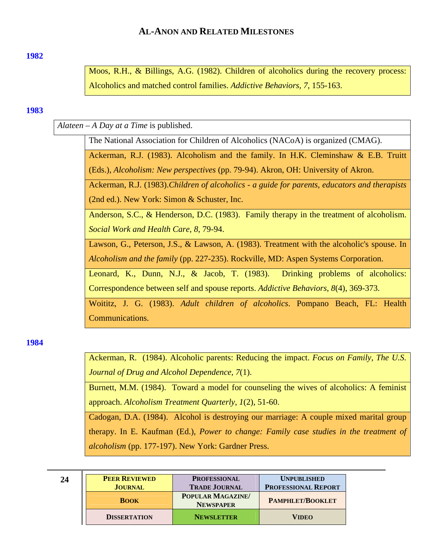### <span id="page-23-0"></span>**[1982](#page-0-0)**

Moos, R.H., & Billings, A.G. (1982). Children of alcoholics during the recovery process: Alcoholics and matched control families. *Addictive Behaviors, 7*, 155-163.

#### **[1983](#page-0-0)**

*Alateen – A Day at a Time* is published.

The National Association for Children of Alcoholics (NACoA) is organized (CMAG).

Ackerman, R.J. (1983). Alcoholism and the family. In H.K. Cleminshaw & E.B. Truitt (Eds.), *Alcoholism: New perspectives* (pp. 79-94). Akron, OH: University of Akron.

Ackerman, R.J. (1983).*Children of alcoholics - a guide for parents, educators and therapists* (2nd ed.). New York: Simon & Schuster, Inc.

Anderson, S.C., & Henderson, D.C. (1983). Family therapy in the treatment of alcoholism. *Social Work and Health Care*, *8*, 79-94.

Lawson, G., Peterson, J.S., & Lawson, A. (1983). Treatment with the alcoholic's spouse. In *Alcoholism and the family* (pp. 227-235). Rockville, MD: Aspen Systems Corporation.

Leonard, K., Dunn, N.J., & Jacob, T. (1983). Drinking problems of alcoholics: Correspondence between self and spouse reports. *Addictive Behaviors*, *8*(4), 369-373.

Woititz, J. G. (1983). *Adult children of alcoholics*. Pompano Beach, FL: Health Communications.

**[1984](#page-0-0)** 

Ackerman, R. (1984). Alcoholic parents: Reducing the impact. *Focus on Family, The U.S. Journal of Drug and Alcohol Dependence, 7*(1).

Burnett, M.M. (1984). Toward a model for counseling the wives of alcoholics: A feminist approach. *Alcoholism Treatment Quarterly*, *1*(2), 51-60.

Cadogan, D.A. (1984). Alcohol is destroying our marriage: A couple mixed marital group therapy. In E. Kaufman (Ed.), *Power to change: Family case studies in the treatment of alcoholism* (pp. 177-197). New York: Gardner Press.

| 24 | <b>PEER REVIEWED</b><br><b>JOURNAL</b> | <b>PROFESSIONAL</b><br><b>TRADE JOURNAL</b> | <b>UNPUBLISHED</b><br><b>PROFESSIONAL REPORT</b> |
|----|----------------------------------------|---------------------------------------------|--------------------------------------------------|
|    | <b>BOOK</b>                            | <b>POPULAR MAGAZINE</b><br><b>NEWSPAPER</b> | <b>PAMPHLET/BOOKLET</b>                          |
|    | <b>DISSERTATION</b>                    | <b>NEWSLETTER</b>                           | <b>VIDEO</b>                                     |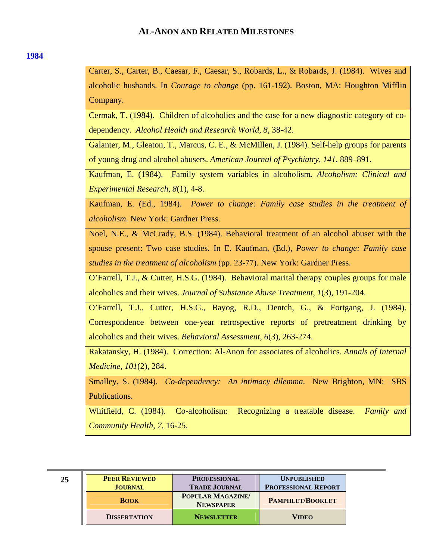#### **[1984](#page-0-0)**

Carter, S., Carter, B., Caesar, F., Caesar, S., Robards, L., & Robards, J. (1984). Wives and alcoholic husbands. In *Courage to change* (pp. 161-192). Boston, MA: Houghton Mifflin Company.

Cermak, T. (1984). Children of alcoholics and the case for a new diagnostic category of codependency. *Alcohol Health and Research World*, *8*, 38-42.

Galanter, M., Gleaton, T., Marcus, C. E., & McMillen, J. (1984). Self-help groups for parents of young drug and alcohol abusers. *American Journal of Psychiatry*, *141*, 889–891.

Kaufman, E. (1984). Family system variables in alcoholism*. Alcoholism: Clinical and Experimental Research*, *8*(1), 4-8.

Kaufman, E. (Ed., 1984). *Power to change: Family case studies in the treatment of alcoholism.* New York: Gardner Press.

Noel, N.E., & McCrady, B.S. (1984). Behavioral treatment of an alcohol abuser with the spouse present: Two case studies. In E. Kaufman, (Ed.), *Power to change: Family case studies in the treatment of alcoholism* (pp. 23-77). New York: Gardner Press.

O'Farrell, T.J., & Cutter, H.S.G. (1984). Behavioral marital therapy couples groups for male alcoholics and their wives. *Journal of Substance Abuse Treatment*, *1*(3), 191-204.

O'Farrell, T.J., Cutter, H.S.G., Bayog, R.D., Dentch, G., & Fortgang, J. (1984). Correspondence between one-year retrospective reports of pretreatment drinking by alcoholics and their wives. *Behavioral Assessment*, *6*(3), 263-274.

Rakatansky, H. (1984). Correction: Al-Anon for associates of alcoholics. *Annals of Internal Medicine, 101*(2), 284.

Smalley, S. (1984). *Co-dependency: An intimacy dilemma*. New Brighton, MN: SBS Publications.

Whitfield, C. (1984). Co-alcoholism: Recognizing a treatable disease. *Family and Community Health*, *7*, 16-25.

| 25 | <b>PEER REVIEWED</b><br><b>JOURNAL</b> | <b>PROFESSIONAL</b><br><b>TRADE JOURNAL</b> | <b>UNPUBLISHED</b><br><b>PROFESSIONAL REPORT</b> |
|----|----------------------------------------|---------------------------------------------|--------------------------------------------------|
|    | <b>BOOK</b>                            | POPULAR MAGAZINE/<br><b>NEWSPAPER</b>       | <b>PAMPHLET/BOOKLET</b>                          |
|    | <b>DISSERTATION</b>                    | <b>NEWSLETTER</b>                           | <b>VIDEO</b>                                     |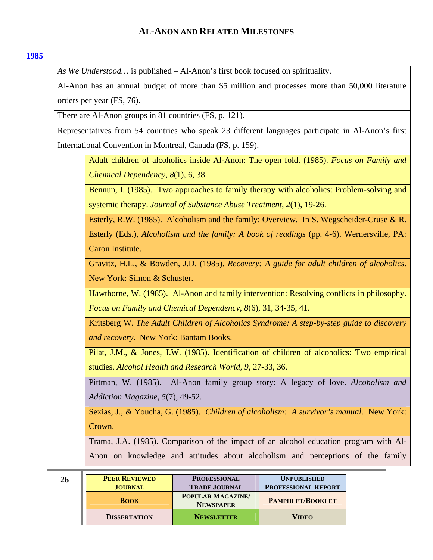## <span id="page-25-0"></span>**[1985](#page-0-0)**

*As We Understood…* is published – Al-Anon's first book focused on spirituality.

Al-Anon has an annual budget of more than \$5 million and processes more than 50,000 literature orders per year (FS, 76).

There are Al-Anon groups in 81 countries (FS, p. 121).

Representatives from 54 countries who speak 23 different languages participate in Al-Anon's first International Convention in Montreal, Canada (FS, p. 159).

Adult children of alcoholics inside Al-Anon: The open fold. (1985). *Focus on Family and Chemical Dependency*, *8*(1), 6, 38.

Bennun, I. (1985). Two approaches to family therapy with alcoholics: Problem-solving and systemic therapy. *Journal of Substance Abuse Treatment*, *2*(1), 19-26.

Esterly, R.W. (1985). Alcoholism and the family: Overview*.* In S. Wegscheider-Cruse & R. Esterly (Eds.), *Alcoholism and the family: A book of readings* (pp. 4-6). Wernersville, PA: Caron Institute.

Gravitz, H.L., & Bowden, J.D. (1985). *Recovery: A guide for adult children of alcoholics*. New York: Simon & Schuster.

Hawthorne, W. (1985). Al-Anon and family intervention: Resolving conflicts in philosophy. *Focus on Family and Chemical Dependency*, *8*(6), 31, 34-35, 41.

Kritsberg W. *The Adult Children of Alcoholics Syndrome: A step-by-step guide to discovery and recovery*. New York: Bantam Books.

Pilat, J.M., & Jones, J.W. (1985). Identification of children of alcoholics: Two empirical studies. *Alcohol Health and Research World, 9*, 27-33, 36.

Pittman, W. (1985). Al-Anon family group story: A legacy of love. *Alcoholism and Addiction Magazine*, *5*(7), 49-52.

Sexias, J., & Youcha, G. (1985). *Children of alcoholism: A survivor's manual*. New York: Crown.

Trama, J.A. (1985). Comparison of the impact of an alcohol education program with Al-Anon on knowledge and attitudes about alcoholism and perceptions of the family

| 26 | <b>PEER REVIEWED</b><br><b>JOURNAL</b> | <b>PROFESSIONAL</b><br><b>TRADE JOURNAL</b> | <b>UNPUBLISHED</b><br><b>PROFESSIONAL REPORT</b> |
|----|----------------------------------------|---------------------------------------------|--------------------------------------------------|
|    | <b>BOOK</b>                            | <b>POPULAR MAGAZINE</b><br><b>NEWSPAPER</b> | <b>PAMPHLET/BOOKLET</b>                          |
|    | <b>DISSERTATION</b>                    | <b>NEWSLETTER</b>                           | <b>VIDEO</b>                                     |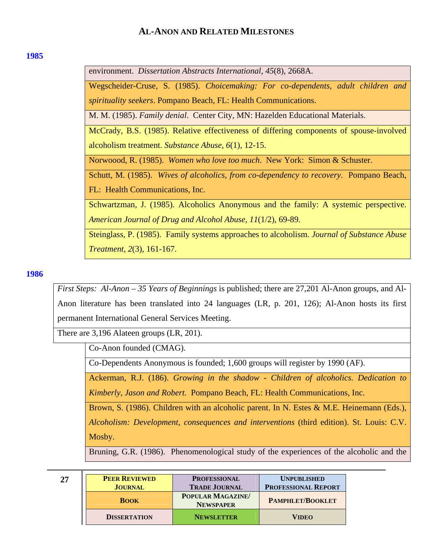#### <span id="page-26-0"></span>**[1985](#page-0-0)**

environment. *Dissertation Abstracts International*, *45*(8), 2668A.

Wegscheider-Cruse, S. (1985). *Choicemaking: For co-dependents, adult children and spirituality seekers*. Pompano Beach, FL: Health Communications.

M. M. (1985). *Family denial*. Center City, MN: Hazelden Educational Materials.

McCrady, B.S. (1985). Relative effectiveness of differing components of spouse-involved alcoholism treatment. *Substance Abuse*, *6*(1), 12-15.

Norwoood, R. (1985). *Women who love too much*. New York: Simon & Schuster.

Schutt, M. (1985). *Wives of alcoholics, from co-dependency to recovery*. Pompano Beach, FL: Health Communications, Inc.

Schwartzman, J. (1985). Alcoholics Anonymous and the family: A systemic perspective. *American Journal of Drug and Alcohol Abuse*, *11*(1/2), 69-89.

Steinglass, P. (1985). Family systems approaches to alcoholism. *Journal of Substance Abuse Treatment*, *2*(3), 161-167.

## **[1986](#page-0-0)**

*First Steps: Al-Anon – 35 Years of Beginnings* is published; there are 27,201 Al-Anon groups, and Al-Anon literature has been translated into 24 languages (LR, p. 201, 126); Al-Anon hosts its first permanent International General Services Meeting.

There are 3,196 Alateen groups (LR, 201).

Co-Anon founded (CMAG).

Co-Dependents Anonymous is founded; 1,600 groups will register by 1990 (AF).

Ackerman, R.J. (186). *Growing in the shadow - Children of alcoholics. Dedication to Kimberly, Jason and Robert.* Pompano Beach, FL: Health Communications, Inc.

Brown, S. (1986). Children with an alcoholic parent. In N. Estes & M.E. Heinemann (Eds.), *Alcoholism: Development, consequences and interventions* (third edition). St. Louis: C.V. Mosby.

Bruning, G.R. (1986). Phenomenological study of the experiences of the alcoholic and the

| 27 | <b>PEER REVIEWED</b> | <b>PROFESSIONAL</b>                   | <b>UNPUBLISHED</b>         |
|----|----------------------|---------------------------------------|----------------------------|
|    | <b>JOURNAL</b>       | <b>TRADE JOURNAL</b>                  | <b>PROFESSIONAL REPORT</b> |
|    | <b>BOOK</b>          | POPULAR MAGAZINE/<br><b>NEWSPAPER</b> | <b>PAMPHLET/BOOKLET</b>    |
|    | <b>DISSERTATION</b>  | <b>NEWSLETTER</b>                     | <b>VIDEO</b>               |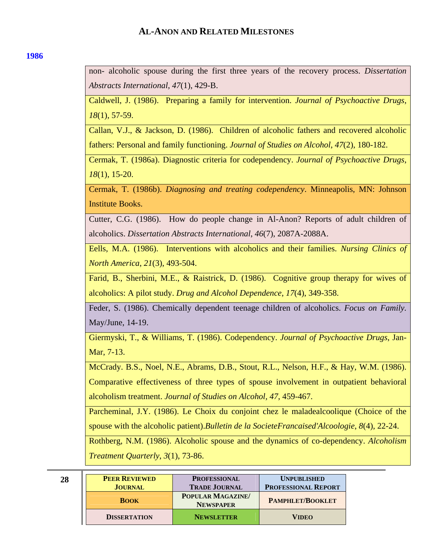### **[1986](#page-0-0)**

non- alcoholic spouse during the first three years of the recovery process. *Dissertation Abstracts International*, *47*(1), 429-B.

Caldwell, J. (1986). Preparing a family for intervention. *Journal of Psychoactive Drugs*, *18*(1), 57-59.

Callan, V.J., & Jackson, D. (1986). Children of alcoholic fathers and recovered alcoholic fathers: Personal and family functioning. *Journal of Studies on Alcohol*, *47*(2), 180-182.

Cermak, T. (1986a). Diagnostic criteria for codependency. *Journal of Psychoactive Drugs*, *18*(1), 15-20.

Cermak, T. (1986b). *Diagnosing and treating codependency*. Minneapolis, MN: Johnson Institute Books.

Cutter, C.G. (1986). How do people change in Al-Anon? Reports of adult children of alcoholics. *Dissertation Abstracts International*, *46*(7), 2087A-2088A.

Eells, M.A. (1986). Interventions with alcoholics and their families. *Nursing Clinics of North America*, *21*(3), 493-504.

Farid, B., Sherbini, M.E., & Raistrick, D. (1986). Cognitive group therapy for wives of alcoholics: A pilot study. *Drug and Alcohol Dependence*, *17*(4), 349-358.

Feder, S. (1986). Chemically dependent teenage children of alcoholics. *Focus on Family.* May/June, 14-19.

Giermyski, T., & Williams, T. (1986). Codependency. *Journal of Psychoactive Drugs*, Jan-Mar, 7-13.

McCrady. B.S., Noel, N.E., Abrams, D.B., Stout, R.L., Nelson, H.F., & Hay, W.M. (1986). Comparative effectiveness of three types of spouse involvement in outpatient behavioral alcoholism treatment. *Journal of Studies on Alcohol, 47*, 459-467.

Parcheminal, J.Y. (1986). Le Choix du conjoint chez le maladealcoolique (Choice of the spouse with the alcoholic patient).*Bulletin de la SocieteFrancaised'Alcoologie*, *8*(4), 22-24.

Rothberg, N.M. (1986). Alcoholic spouse and the dynamics of co-dependency. *Alcoholism Treatment Quarterly*, *3*(1), 73-86.

| 28 | <b>PEER REVIEWED</b><br><b>JOURNAL</b> | <b>PROFESSIONAL</b><br><b>TRADE JOURNAL</b> | <b>UNPUBLISHED</b><br><b>PROFESSIONAL REPORT</b> |
|----|----------------------------------------|---------------------------------------------|--------------------------------------------------|
|    | <b>BOOK</b>                            | <b>POPULAR MAGAZINE</b><br><b>NEWSPAPER</b> | <b>PAMPHLET/BOOKLET</b>                          |
|    | <b>DISSERTATION</b>                    | <b>NEWSLETTER</b>                           | <b>VIDEO</b>                                     |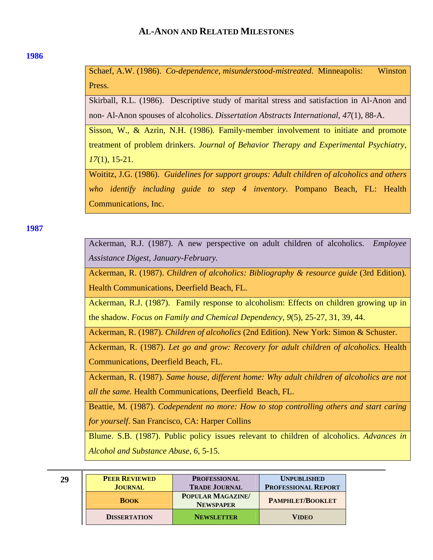### <span id="page-28-0"></span>**[1986](#page-0-0)**

Schaef, A.W. (1986). *Co-dependence, misunderstood-mistreated*. Minneapolis: Winston Press.

Skirball, R.L. (1986). Descriptive study of marital stress and satisfaction in Al-Anon and non- Al-Anon spouses of alcoholics. *Dissertation Abstracts International*, *47*(1), 88-A.

Sisson, W., & Azrin, N.H. (1986). Family-member involvement to initiate and promote treatment of problem drinkers. *Journal of Behavior Therapy and Experimental Psychiatry*, *17*(1), 15-21.

Woititz, J.G. (1986). *Guidelines for support groups: Adult children of alcoholics and others who identify including guide to step 4 inventory*. Pompano Beach, FL: Health Communications, Inc.

**[1987](#page-0-0)** 

Ackerman, R.J. (1987). A new perspective on adult children of alcoholics. *Employee Assistance Digest, January-February.*

Ackerman, R. (1987). *Children of alcoholics: Bibliography & resource guide* (3rd Edition)*.* Health Communications, Deerfield Beach, FL.

Ackerman, R.J. (1987). Family response to alcoholism: Effects on children growing up in the shadow. *Focus on Family and Chemical Dependency*, *9*(5), 25-27, 31, 39, 44.

Ackerman, R. (1987). *Children of alcoholics* (2nd Edition). New York: Simon & Schuster.

Ackerman, R. (1987). *Let go and grow: Recovery for adult children of alcoholics.* Health Communications, Deerfield Beach, FL.

Ackerman, R. (1987). *Same house, different home: Why adult children of alcoholics are not all the same.* Health Communications, Deerfield Beach, FL.

Beattie, M. (1987). *Codependent no more: How to stop controlling others and start caring for yourself*. San Francisco, CA: Harper Collins

Blume. S.B. (1987). Public policy issues relevant to children of alcoholics. *Advances in Alcohol and Substance Abuse, 6*, 5-15.

| 29 | <b>PEER REVIEWED</b> | <b>PROFESSIONAL</b>                         | <b>UNPUBLISHED</b>         |
|----|----------------------|---------------------------------------------|----------------------------|
|    | <b>JOURNAL</b>       | <b>TRADE JOURNAL</b>                        | <b>PROFESSIONAL REPORT</b> |
|    | <b>BOOK</b>          | <b>POPULAR MAGAZINE</b><br><b>NEWSPAPER</b> | <b>PAMPHLET/BOOKLET</b>    |
|    | <b>DISSERTATION</b>  | <b>NEWSLETTER</b>                           | <b>VIDEO</b>               |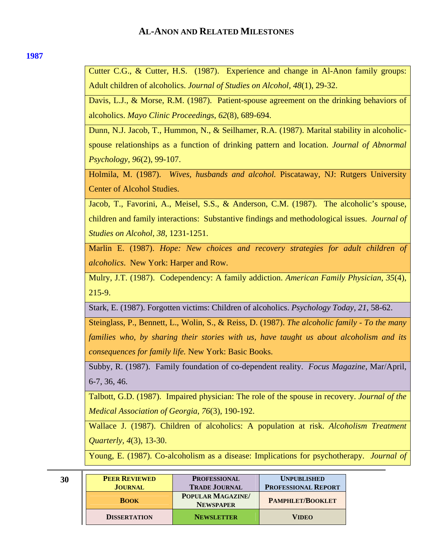### **[1987](#page-0-0)**

Cutter C.G., & Cutter, H.S. (1987). Experience and change in Al-Anon family groups: Adult children of alcoholics. *Journal of Studies on Alcohol, 48*(1), 29-32.

Davis, L.J., & Morse, R.M. (1987). Patient-spouse agreement on the drinking behaviors of alcoholics. *Mayo Clinic Proceedings*, *62*(8), 689-694.

Dunn, N.J. Jacob, T., Hummon, N., & Seilhamer, R.A. (1987). Marital stability in alcoholicspouse relationships as a function of drinking pattern and location. *Journal of Abnormal Psychology*, *96*(2), 99-107.

Holmila, M. (1987). *Wives, husbands and alcohol.* Piscataway, NJ: Rutgers University Center of Alcohol Studies.

Jacob, T., Favorini, A., Meisel, S.S., & Anderson, C.M. (1987). The alcoholic's spouse, children and family interactions: Substantive findings and methodological issues. *Journal of Studies on Alcohol*, *38*, 1231-1251.

Marlin E. (1987). *Hope: New choices and recovery strategies for adult children of alcoholics*. New York: Harper and Row.

Mulry, J.T. (1987). Codependency: A family addiction. *American Family Physician*, *35*(4), 215-9.

Stark, E. (1987). Forgotten victims: Children of alcoholics. *Psychology Today*, *21*, 58-62.

Steinglass, P., Bennett, L., Wolin, S., & Reiss, D. (1987). *The alcoholic family - To the many families who, by sharing their stories with us, have taught us about alcoholism and its consequences for family life.* New York: Basic Books.

Subby, R. (1987). Family foundation of co-dependent reality. *Focus Magazine*, Mar/April, 6-7, 36, 46.

Talbott, G.D. (1987). Impaired physician: The role of the spouse in recovery. *Journal of the Medical Association of Georgia*, *76*(3), 190-192.

Wallace J. (1987). Children of alcoholics: A population at risk. *Alcoholism Treatment Quarterly, 4*(3), 13-30.

Young, E. (1987). Co-alcoholism as a disease: Implications for psychotherapy. *Journal of* 

| 30 | <b>PEER REVIEWED</b><br><b>JOURNAL</b> | <b>PROFESSIONAL</b><br><b>TRADE JOURNAL</b> | <b>UNPUBLISHED</b><br><b>PROFESSIONAL REPORT</b> |
|----|----------------------------------------|---------------------------------------------|--------------------------------------------------|
|    | <b>BOOK</b>                            | POPULAR MAGAZINE/<br><b>NEWSPAPER</b>       | <b>PAMPHLET/BOOKLET</b>                          |
|    | <b>DISSERTATION</b>                    | <b>NEWSLETTER</b>                           | <b>VIDEO</b>                                     |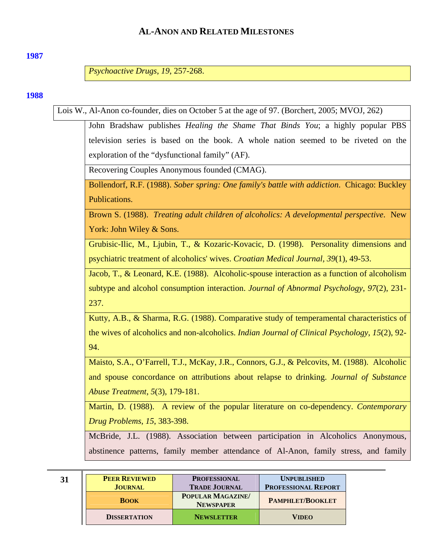### <span id="page-30-0"></span>**[1987](#page-0-0)**

*Psychoactive Drugs*, *19*, 257-268.

### **[1988](#page-0-0)**

Lois W., Al-Anon co-founder, dies on October 5 at the age of 97. (Borchert, 2005; MVOJ, 262)

John Bradshaw publishes *Healing the Shame That Binds You*; a highly popular PBS television series is based on the book. A whole nation seemed to be riveted on the exploration of the "dysfunctional family" (AF).

Recovering Couples Anonymous founded (CMAG).

Bollendorf, R.F. (1988). *Sober spring: One family's battle with addiction*. Chicago: Buckley Publications.

Brown S. (1988). *Treating adult children of alcoholics: A developmental perspective*. New York: John Wiley & Sons.

Grubisic-Ilic, M., Ljubin, T., & Kozaric-Kovacic, D. (1998). Personality dimensions and psychiatric treatment of alcoholics' wives. *Croatian Medical Journal, 39*(1), 49-53.

Jacob, T., & Leonard, K.E. (1988). Alcoholic-spouse interaction as a function of alcoholism subtype and alcohol consumption interaction. *Journal of Abnormal Psychology*, *97*(2), 231- 237.

Kutty, A.B., & Sharma, R.G. (1988). Comparative study of temperamental characteristics of the wives of alcoholics and non-alcoholics. *Indian Journal of Clinical Psychology*, *15*(2), 92- 94.

Maisto, S.A., O'Farrell, T.J., McKay, J.R., Connors, G.J., & Pelcovits, M. (1988). Alcoholic and spouse concordance on attributions about relapse to drinking. *Journal of Substance Abuse Treatment*, *5*(3), 179-181.

Martin, D. (1988). A review of the popular literature on co-dependency. *Contemporary Drug Problems*, *15*, 383-398.

McBride, J.L. (1988). Association between participation in Alcoholics Anonymous, abstinence patterns, family member attendance of Al-Anon, family stress, and family

| 31 | <b>PEER REVIEWED</b> | <b>PROFESSIONAL</b>                         | <b>UNPUBLISHED</b>         |
|----|----------------------|---------------------------------------------|----------------------------|
|    | <b>JOURNAL</b>       | <b>TRADE JOURNAL</b>                        | <b>PROFESSIONAL REPORT</b> |
|    | <b>BOOK</b>          | <b>POPULAR MAGAZINE</b><br><b>NEWSPAPER</b> | <b>PAMPHLET/BOOKLET</b>    |
|    | <b>DISSERTATION</b>  | <b>NEWSLETTER</b>                           | <b>VIDEO</b>               |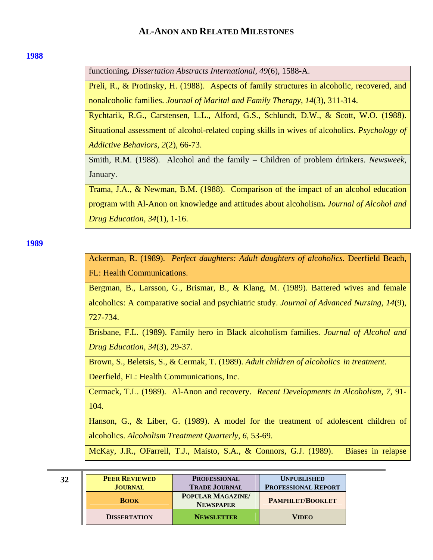#### <span id="page-31-0"></span>**[1988](#page-0-0)**

functioning*. Dissertation Abstracts International*, *49*(6), 1588-A.

Preli, R., & Protinsky, H. (1988). Aspects of family structures in alcoholic, recovered, and nonalcoholic families. *Journal of Marital and Family Therapy*, *14*(3), 311-314.

Rychtarik, R.G., Carstensen, L.L., Alford, G.S., Schlundt, D.W., & Scott, W.O. (1988). Situational assessment of alcohol-related coping skills in wives of alcoholics. *Psychology of Addictive Behaviors*, *2*(2), 66-73.

Smith, R.M. (1988). Alcohol and the family – Children of problem drinkers. *Newsweek,*  January.

Trama, J.A., & Newman, B.M. (1988). Comparison of the impact of an alcohol education program with Al-Anon on knowledge and attitudes about alcoholism*. Journal of Alcohol and Drug Education*, *34*(1), 1-16.

**[1989](#page-0-0)** 

Ackerman, R. (1989). *Perfect daughters: Adult daughters of alcoholics.* Deerfield Beach, FL: Health Communications.

Bergman, B., Larsson, G., Brismar, B., & Klang, M. (1989). Battered wives and female alcoholics: A comparative social and psychiatric study. *Journal of Advanced Nursing*, *14*(9), 727-734.

Brisbane, F.L. (1989). Family hero in Black alcoholism families. *Journal of Alcohol and Drug Education*, *34*(3), 29-37.

Brown, S., Beletsis, S., & Cermak, T. (1989). *Adult children of alcoholics in treatment*. Deerfield, FL: Health Communications, Inc.

Cermack, T.L. (1989). Al-Anon and recovery. *Recent Developments in Alcoholism*, *7*, 91- 104.

Hanson, G., & Liber, G. (1989). A model for the treatment of adolescent children of alcoholics. *Alcoholism Treatment Quarterly, 6*, 53-69.

McKay, J.R., OFarrell, T.J., Maisto, S.A., & Connors, G.J. (1989). Biases in relapse

| v |  |
|---|--|
|   |  |

| 32 | <b>PEER REVIEWED</b> | <b>PROFESSIONAL</b>                   | <b>UNPUBLISHED</b>         |
|----|----------------------|---------------------------------------|----------------------------|
|    | <b>JOURNAL</b>       | <b>TRADE JOURNAL</b>                  | <b>PROFESSIONAL REPORT</b> |
|    | <b>BOOK</b>          | POPULAR MAGAZINE/<br><b>NEWSPAPER</b> | <b>PAMPHLET/BOOKLET</b>    |
|    | <b>DISSERTATION</b>  | <b>NEWSLETTER</b>                     | <b>VIDEO</b>               |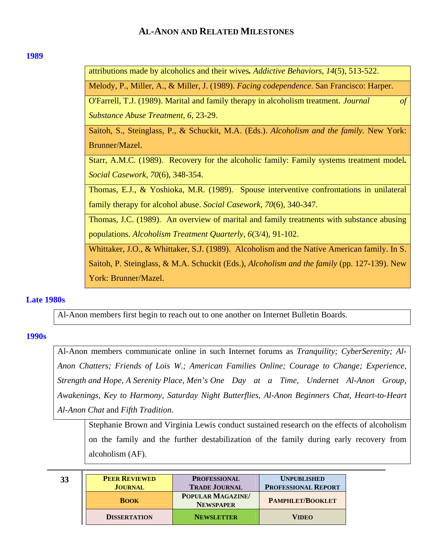### <span id="page-32-0"></span>**[1989](#page-0-0)**

attributions made by alcoholics and their wives*. Addictive Behaviors*, *14*(5), 513-522. Melody, P., Miller, A., & Miller, J. (1989). *Facing codependence*. San Francisco: Harper. O'Farrell, T.J. (1989). Marital and family therapy in alcoholism treatment. *Journal of Substance Abuse Treatment, 6*, 23-29. Saitoh, S., Steinglass, P., & Schuckit, M.A. (Eds.). *Alcoholism and the family.* New York: Brunner/Mazel. Starr, A.M.C. (1989). Recovery for the alcoholic family: Family systems treatment model*. Social Casework*, *70*(6), 348-354. Thomas, E.J., & Yoshioka, M.R. (1989). Spouse interventive confrontations in unilateral family therapy for alcohol abuse. *Social Casework*, *70*(6), 340-347. Thomas, J.C. (1989). An overview of marital and family treatments with substance abusing populations. *Alcoholism Treatment Quarterly*, *6*(3/4), 91-102. Whittaker, J.O., & Whittaker, S.J. (1989). Alcoholism and the Native American family. In S. Saitoh, P. Steinglass, & M.A. Schuckit (Eds.), *Alcoholism and the family* (pp. 127-139). New York: Brunner/Mazel.

# **[Late 1980s](#page-0-0)**

Al-Anon members first begin to reach out to one another on Internet Bulletin Boards.

## **[1990s](#page-0-0)**

Al-Anon members communicate online in such Internet forums as *Tranquility; CyberSerenity; Al-Anon Chatters; Friends of Lois W.; American Families Online; Courage to Change; Experience, Strength and Hope, A Serenity Place, Men's One Day at a Time, Undernet Al-Anon Group, Awakenings, Key to Harmony, Saturday Night Butterflies, Al-Anon Beginners Chat, Heart-to-Heart Al-Anon Chat* and *Fifth Tradition*.

Stephanie Brown and Virginia Lewis conduct sustained research on the effects of alcoholism on the family and the further destabilization of the family during early recovery from alcoholism (AF).

| 33 | <b>PEER REVIEWED</b> | <b>PROFESSIONAL</b>                         | <b>UNPUBLISHED</b>         |
|----|----------------------|---------------------------------------------|----------------------------|
|    | <b>JOURNAL</b>       | <b>TRADE JOURNAL</b>                        | <b>PROFESSIONAL REPORT</b> |
|    | <b>BOOK</b>          | <b>POPULAR MAGAZINE</b><br><b>NEWSPAPER</b> | <b>PAMPHLET/BOOKLET</b>    |
|    | <b>DISSERTATION</b>  | <b>NEWSLETTER</b>                           | <b>VIDEO</b>               |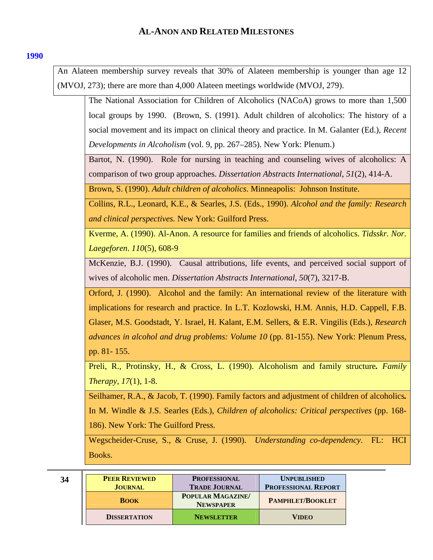<span id="page-33-0"></span>An Alateen membership survey reveals that 30% of Alateen membership is younger than age 12 (MVOJ, 273); there are more than 4,000 Alateen meetings worldwide (MVOJ, 279).

The National Association for Children of Alcoholics (NACoA) grows to more than 1,500 local groups by 1990. (Brown, S. (1991). Adult children of alcoholics: The history of a social movement and its impact on clinical theory and practice. In M. Galanter (Ed.), *Recent Developments in Alcoholism* (vol. 9, pp. 267–285). New York: Plenum.) Bartot, N. (1990). Role for nursing in teaching and counseling wives of alcoholics: A comparison of two group approaches. *Dissertation Abstracts International*, *51*(2), 414-A. Brown, S. (1990). *Adult children of alcoholics*. Minneapolis: Johnson Institute. Collins, R.L., Leonard, K.E., & Searles, J.S. (Eds., 1990). *Alcohol and the family: Research and clinical perspectives.* New York: Guilford Press. Kverme, A. (1990). Al-Anon. A resource for families and friends of alcoholics. *Tidsskr. Nor. Laegeforen*. *110*(5), 608-9 McKenzie, B.J. (1990). Causal attributions, life events, and perceived social support of wives of alcoholic men. *Dissertation Abstracts International*, *50*(7), 3217-B. Orford, J. (1990). Alcohol and the family: An international review of the literature with implications for research and practice. In L.T. Kozlowski, H.M. Annis, H.D. Cappell, F.B. Glaser, M.S. Goodstadt, Y. Israel, H. Kalant, E.M. Sellers, & E.R. Vingilis (Eds.), *Research advances in alcohol and drug problems: Volume 10* (pp. 81-155). New York: Plenum Press, pp. 81- 155. Preli, R., Protinsky, H., & Cross, L. (1990). Alcoholism and family structure*. Family Therapy*, *17*(1), 1-8. Seilhamer, R.A., & Jacob, T. (1990). Family factors and adjustment of children of alcoholics*.*  In M. Windle & J.S. Searles (Eds.), *Children of alcoholics: Critical perspectives* (pp. 168- 186). New York: The Guilford Press.

Wegscheider-Cruse, S., & Cruse, J. (1990). *Understanding co-dependency*. FL: HCI Books.

| 34 | <b>PEER REVIEWED</b><br><b>JOURNAL</b> | <b>PROFESSIONAL</b><br><b>TRADE JOURNAL</b> | <b>UNPUBLISHED</b><br><b>PROFESSIONAL REPORT</b> |
|----|----------------------------------------|---------------------------------------------|--------------------------------------------------|
|    | <b>BOOK</b>                            | <b>POPULAR MAGAZINE</b><br><b>NEWSPAPER</b> | <b>PAMPHLET/BOOKLET</b>                          |
|    | <b>DISSERTATION</b>                    | <b>NEWSLETTER</b>                           | <b>VIDEO</b>                                     |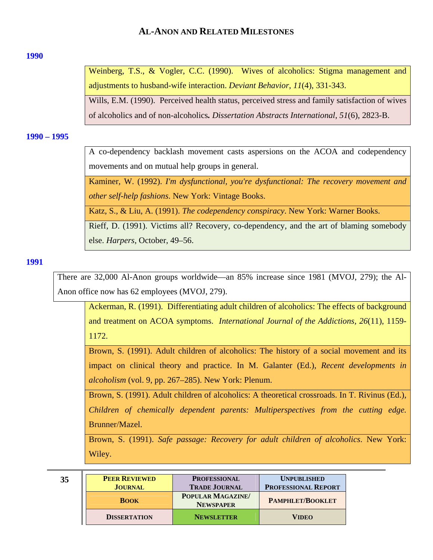### <span id="page-34-0"></span>**[1990](#page-0-0)**

Weinberg, T.S., & Vogler, C.C. (1990). Wives of alcoholics: Stigma management and adjustments to husband-wife interaction. *Deviant Behavior*, *11*(4), 331-343.

Wills, E.M. (1990). Perceived health status, perceived stress and family satisfaction of wives of alcoholics and of non-alcoholics*. Dissertation Abstracts International*, *51*(6), 2823-B.

#### **[1990 – 1995](#page-0-0)**

A co-dependency backlash movement casts aspersions on the ACOA and codependency movements and on mutual help groups in general.

Kaminer, W. (1992). *I'm dysfunctional, you're dysfunctional: The recovery movement and other self-help fashions*. New York: Vintage Books.

Katz, S., & Liu, A. (1991). *The codependency conspiracy*. New York: Warner Books.

Rieff, D. (1991). Victims all? Recovery, co-dependency, and the art of blaming somebody else. *Harpers*, October, 49–56.

## **[1991](#page-0-0)**

There are 32,000 Al-Anon groups worldwide—an 85% increase since 1981 (MVOJ, 279); the Al-Anon office now has 62 employees (MVOJ, 279).

Ackerman, R. (1991). Differentiating adult children of alcoholics: The effects of background and treatment on ACOA symptoms. *International Journal of the Addictions, 26*(11), 1159- 1172.

Brown, S. (1991). Adult children of alcoholics: The history of a social movement and its impact on clinical theory and practice. In M. Galanter (Ed.), *Recent developments in alcoholism* (vol. 9, pp. 267–285). New York: Plenum.

Brown, S. (1991). Adult children of alcoholics: A theoretical crossroads. In T. Rivinus (Ed.), *Children of chemically dependent parents: Multiperspectives from the cutting edge.*  Brunner/Mazel.

Brown, S. (1991). *Safe passage: Recovery for adult children of alcoholics*. New York: Wiley.

| 35 | <b>PEER REVIEWED</b> | <b>PROFESSIONAL</b>                         | <b>UNPUBLISHED</b>         |
|----|----------------------|---------------------------------------------|----------------------------|
|    | <b>JOURNAL</b>       | <b>TRADE JOURNAL</b>                        | <b>PROFESSIONAL REPORT</b> |
|    | <b>BOOK</b>          | <b>POPULAR MAGAZINE</b><br><b>NEWSPAPER</b> | <b>PAMPHLET/BOOKLET</b>    |
|    | <b>DISSERTATION</b>  | <b>NEWSLETTER</b>                           | <b>VIDEO</b>               |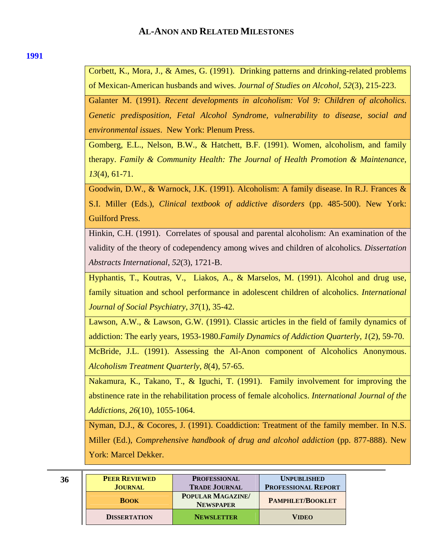### **[1991](#page-0-0)**

Corbett, K., Mora, J., & Ames, G. (1991). Drinking patterns and drinking-related problems of Mexican-American husbands and wives. *Journal of Studies on Alcohol*, *52*(3), 215-223.

Galanter M. (1991). *Recent developments in alcoholism: Vol 9: Children of alcoholics. Genetic predisposition, Fetal Alcohol Syndrome, vulnerability to disease, social and environmental issues*. New York: Plenum Press.

Gomberg, E.L., Nelson, B.W., & Hatchett, B.F. (1991). Women, alcoholism, and family therapy. *Family & Community Health: The Journal of Health Promotion & Maintenance*, *13*(4), 61-71.

Goodwin, D.W., & Warnock, J.K. (1991). Alcoholism: A family disease. In R.J. Frances & S.I. Miller (Eds.), *Clinical textbook of addictive disorders* (pp. 485-500). New York: Guilford Press.

Hinkin, C.H. (1991). Correlates of spousal and parental alcoholism: An examination of the validity of the theory of codependency among wives and children of alcoholics*. Dissertation Abstracts International*, *52*(3), 1721-B.

Hyphantis, T., Koutras, V., Liakos, A., & Marselos, M. (1991). Alcohol and drug use, family situation and school performance in adolescent children of alcoholics. *International Journal of Social Psychiatry*, *37*(1), 35-42.

Lawson, A.W., & Lawson, G.W. (1991). Classic articles in the field of family dynamics of addiction: The early years, 1953-1980.*Family Dynamics of Addiction Quarterly*, *1*(2), 59-70.

McBride, J.L. (1991). Assessing the Al-Anon component of Alcoholics Anonymous. *Alcoholism Treatment Quarterly*, *8*(4), 57-65.

Nakamura, K., Takano, T., & Iguchi, T. (1991). Family involvement for improving the abstinence rate in the rehabilitation process of female alcoholics. *International Journal of the Addictions*, *26*(10), 1055-1064.

Nyman, D.J., & Cocores, J. (1991). Coaddiction: Treatment of the family member. In N.S. Miller (Ed.), *Comprehensive handbook of drug and alcohol addiction* (pp. 877-888). New York: Marcel Dekker.

| 36 | <b>PEER REVIEWED</b><br><b>JOURNAL</b> | <b>PROFESSIONAL</b><br><b>TRADE JOURNAL</b> | <b>UNPUBLISHED</b><br><b>PROFESSIONAL REPORT</b> |
|----|----------------------------------------|---------------------------------------------|--------------------------------------------------|
|    | <b>BOOK</b>                            | POPULAR MAGAZINE/<br><b>NEWSPAPER</b>       | <b>PAMPHLET/BOOKLET</b>                          |
|    | <b>DISSERTATION</b>                    | <b>NEWSLETTER</b>                           | <b>VIDEO</b>                                     |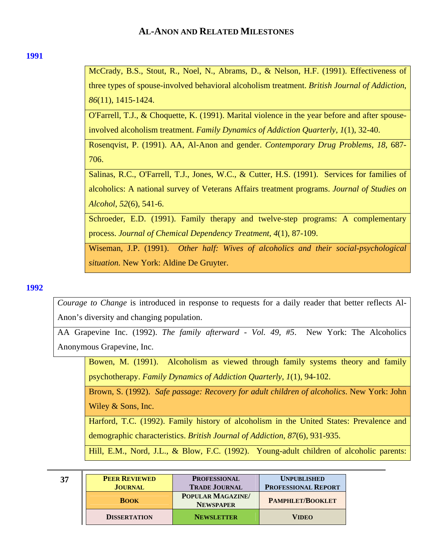### <span id="page-36-0"></span>**[1991](#page-0-0)**

McCrady, B.S., Stout, R., Noel, N., Abrams, D., & Nelson, H.F. (1991). Effectiveness of three types of spouse-involved behavioral alcoholism treatment. *British Journal of Addiction*, *86*(11), 1415-1424.

O'Farrell, T.J., & Choquette, K. (1991). Marital violence in the year before and after spouseinvolved alcoholism treatment. *Family Dynamics of Addiction Quarterly*, *1*(1), 32-40.

Rosenqvist, P. (1991). AA, Al-Anon and gender. *Contemporary Drug Problems*, *18*, 687- 706.

Salinas, R.C., O'Farrell, T.J., Jones, W.C., & Cutter, H.S. (1991). Services for families of alcoholics: A national survey of Veterans Affairs treatment programs. *Journal of Studies on Alcohol*, *52*(6), 541-6.

Schroeder, E.D. (1991). Family therapy and twelve-step programs: A complementary process. *Journal of Chemical Dependency Treatment*, *4*(1), 87-109.

Wiseman, J.P. (1991). *Other half: Wives of alcoholics and their social-psychological situation.* New York: Aldine De Gruyter.

## **[1992](#page-0-0)**

*Courage to Change* is introduced in response to requests for a daily reader that better reflects Al-Anon's diversity and changing population.

AA Grapevine Inc. (1992). *The family afterward - Vol. 49, #5*. New York: The Alcoholics Anonymous Grapevine, Inc.

Bowen, M. (1991). Alcoholism as viewed through family systems theory and family psychotherapy. *Family Dynamics of Addiction Quarterly*, *1*(1), 94-102.

Brown, S. (1992). *Safe passage: Recovery for adult children of alcoholics*. New York: John Wiley & Sons, Inc.

Harford, T.C. (1992). Family history of alcoholism in the United States: Prevalence and demographic characteristics. *British Journal of Addiction*, *87*(6), 931-935.

Hill, E.M., Nord, J.L., & Blow, F.C. (1992). Young-adult children of alcoholic parents:

| 37 | <b>PEER REVIEWED</b> | <b>PROFESSIONAL</b>                   | <b>UNPUBLISHED</b>         |
|----|----------------------|---------------------------------------|----------------------------|
|    | <b>JOURNAL</b>       | <b>TRADE JOURNAL</b>                  | <b>PROFESSIONAL REPORT</b> |
|    | <b>BOOK</b>          | POPULAR MAGAZINE/<br><b>NEWSPAPER</b> | <b>PAMPHLET/BOOKLET</b>    |
|    | <b>DISSERTATION</b>  | <b>NEWSLETTER</b>                     | <b>VIDEO</b>               |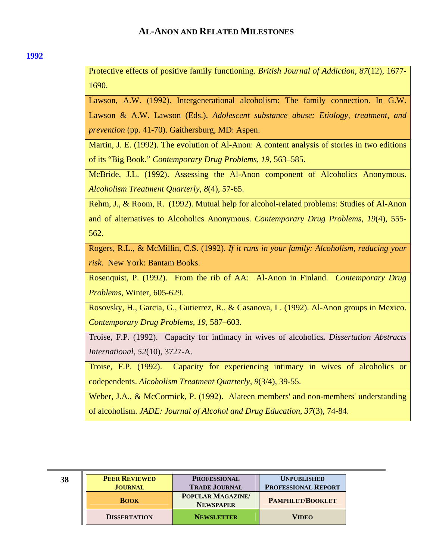Protective effects of positive family functioning. *British Journal of Addiction*, *87*(12), 1677- 1690.

Lawson, A.W. (1992). Intergenerational alcoholism: The family connection. In G.W. Lawson & A.W. Lawson (Eds.), *Adolescent substance abuse: Etiology, treatment, and prevention* (pp. 41-70). Gaithersburg, MD: Aspen.

Martin, J. E. (1992). The evolution of Al-Anon: A content analysis of stories in two editions of its "Big Book." *Contemporary Drug Problems*, *19*, 563–585.

McBride, J.L. (1992). Assessing the Al-Anon component of Alcoholics Anonymous. *Alcoholism Treatment Quarterly*, *8*(4), 57-65.

Rehm, J., & Room, R. (1992). Mutual help for alcohol-related problems: Studies of Al-Anon and of alternatives to Alcoholics Anonymous. *Contemporary Drug Problems*, *19*(4), 555- 562.

Rogers, R.L., & McMillin, C.S. (1992). *If it runs in your family: Alcoholism, reducing your risk*. New York: Bantam Books.

Rosenquist, P. (1992). From the rib of AA: Al-Anon in Finland. *Contemporary Drug Problems*, Winter, 605-629.

Rosovsky, H., Garcia, G., Gutierrez, R., & Casanova, L. (1992). Al-Anon groups in Mexico. *Contemporary Drug Problems, 19*, 587–603.

Troise, F.P. (1992). Capacity for intimacy in wives of alcoholics*. Dissertation Abstracts International*, *52*(10), 3727-A.

Troise, F.P. (1992). Capacity for experiencing intimacy in wives of alcoholics or codependents. *Alcoholism Treatment Quarterly*, *9*(3/4), 39-55.

Weber, J.A., & McCormick, P. (1992). Alateen members' and non-members' understanding of alcoholism. *JADE: Journal of Alcohol and Drug Education*, *37*(3), 74-84.

| 38 | <b>PEER REVIEWED</b> | <b>PROFESSIONAL</b>                   | <b>UNPUBLISHED</b>         |
|----|----------------------|---------------------------------------|----------------------------|
|    | <b>JOURNAL</b>       | <b>TRADE JOURNAL</b>                  | <b>PROFESSIONAL REPORT</b> |
|    | <b>BOOK</b>          | POPULAR MAGAZINE/<br><b>NEWSPAPER</b> | <b>PAMPHLET/BOOKLET</b>    |
|    | <b>DISSERTATION</b>  | <b>NEWSLETTER</b>                     | <b>VIDEO</b>               |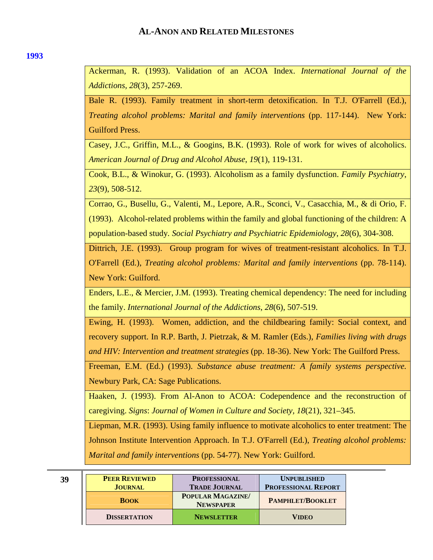<span id="page-38-0"></span>Ackerman, R. (1993). Validation of an ACOA Index. *International Journal of the Addictions, 28*(3), 257-269.

Bale R. (1993). Family treatment in short-term detoxification. In T.J. O'Farrell (Ed.), *Treating alcohol problems: Marital and family interventions* (pp. 117-144). New York: Guilford Press.

Casey, J.C., Griffin, M.L., & Googins, B.K. (1993). Role of work for wives of alcoholics. *American Journal of Drug and Alcohol Abuse*, *19*(1), 119-131.

Cook, B.L., & Winokur, G. (1993). Alcoholism as a family dysfunction. *Family Psychiatry*, *23*(9), 508-512.

Corrao, G., Busellu, G., Valenti, M., Lepore, A.R., Sconci, V., Casacchia, M., & di Orio, F. (1993). Alcohol-related problems within the family and global functioning of the children: A population-based study*. Social Psychiatry and Psychiatric Epidemiology*, *28*(6), 304-308.

Dittrich, J.E. (1993). Group program for wives of treatment-resistant alcoholics. In T.J. O'Farrell (Ed.), *Treating alcohol problems: Marital and family interventions* (pp. 78-114). New York: Guilford.

Enders, L.E., & Mercier, J.M. (1993). Treating chemical dependency: The need for including the family. *International Journal of the Addictions*, *28*(6), 507-519.

Ewing, H. (1993). Women, addiction, and the childbearing family: Social context, and recovery support. In R.P. Barth, J. Pietrzak, & M. Ramler (Eds.), *Families living with drugs and HIV: Intervention and treatment strategies* (pp. 18-36). New York: The Guilford Press.

Freeman, E.M. (Ed.) (1993). *Substance abuse treatment: A family systems perspective.*  Newbury Park, CA: Sage Publications.

Haaken, J. (1993). From Al-Anon to ACOA: Codependence and the reconstruction of caregiving. *Signs*: *Journal of Women in Culture and Society, 18*(21), 321–345.

Liepman, M.R. (1993). Using family influence to motivate alcoholics to enter treatment: The Johnson Institute Intervention Approach. In T.J. O'Farrell (Ed.), *Treating alcohol problems: Marital and family interventions* (pp. 54-77). New York: Guilford.

| 39 | <b>PEER REVIEWED</b><br><b>JOURNAL</b> | <b>PROFESSIONAL</b><br><b>TRADE JOURNAL</b> | <b>UNPUBLISHED</b><br><b>PROFESSIONAL REPORT</b> |
|----|----------------------------------------|---------------------------------------------|--------------------------------------------------|
|    | <b>BOOK</b>                            | <b>POPULAR MAGAZINE</b><br><b>NEWSPAPER</b> | PAMPHLET/BOOKLET                                 |
|    | <b>DISSERTATION</b>                    | <b>NEWSLETTER</b>                           | <b>VIDEO</b>                                     |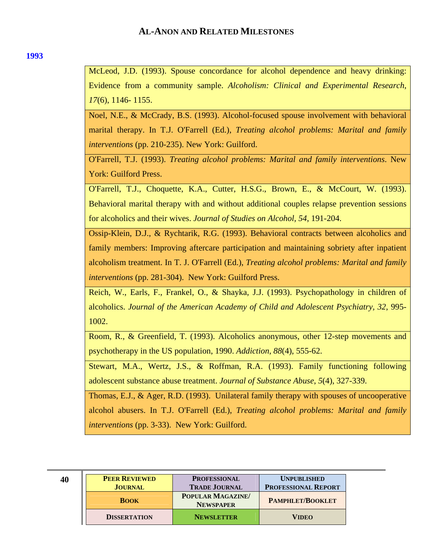### **[1993](#page-0-0)**

McLeod, J.D. (1993). Spouse concordance for alcohol dependence and heavy drinking: Evidence from a community sample. *Alcoholism: Clinical and Experimental Research*, *17*(6), 1146- 1155.

Noel, N.E., & McCrady, B.S. (1993). Alcohol-focused spouse involvement with behavioral marital therapy. In T.J. O'Farrell (Ed.), *Treating alcohol problems: Marital and family interventions* (pp. 210-235). New York: Guilford.

O'Farrell, T.J. (1993). *Treating alcohol problems: Marital and family interventions*. New York: Guilford Press.

O'Farrell, T.J., Choquette, K.A., Cutter, H.S.G., Brown, E., & McCourt, W. (1993). Behavioral marital therapy with and without additional couples relapse prevention sessions for alcoholics and their wives. *Journal of Studies on Alcohol, 54*, 191-204.

Ossip-Klein, D.J., & Rychtarik, R.G. (1993). Behavioral contracts between alcoholics and family members: Improving aftercare participation and maintaining sobriety after inpatient alcoholism treatment. In T. J. O'Farrell (Ed.), *Treating alcohol problems: Marital and family interventions* (pp. 281-304). New York: Guilford Press.

Reich, W., Earls, F., Frankel, O., & Shayka, J.J. (1993). Psychopathology in children of alcoholics. *Journal of the American Academy of Child and Adolescent Psychiatry, 32*, 995- 1002.

Room, R., & Greenfield, T. (1993). Alcoholics anonymous, other 12-step movements and psychotherapy in the US population, 1990. *Addiction*, *88*(4), 555-62.

Stewart, M.A., Wertz, J.S., & Roffman, R.A. (1993). Family functioning following adolescent substance abuse treatment. *Journal of Substance Abuse*, *5*(4), 327-339.

Thomas, E.J., & Ager, R.D. (1993). Unilateral family therapy with spouses of uncooperative alcohol abusers. In T.J. O'Farrell (Ed.), *Treating alcohol problems: Marital and family interventions* (pp. 3-33). New York: Guilford.

| 40 | <b>PEER REVIEWED</b> | <b>PROFESSIONAL</b>                         | <b>UNPUBLISHED</b>         |
|----|----------------------|---------------------------------------------|----------------------------|
|    | <b>JOURNAL</b>       | <b>TRADE JOURNAL</b>                        | <b>PROFESSIONAL REPORT</b> |
|    | <b>BOOK</b>          | <b>POPULAR MAGAZINE</b><br><b>NEWSPAPER</b> | <b>PAMPHLET/BOOKLET</b>    |
|    | <b>DISSERTATION</b>  | <b>NEWSLETTER</b>                           | <b>VIDEO</b>               |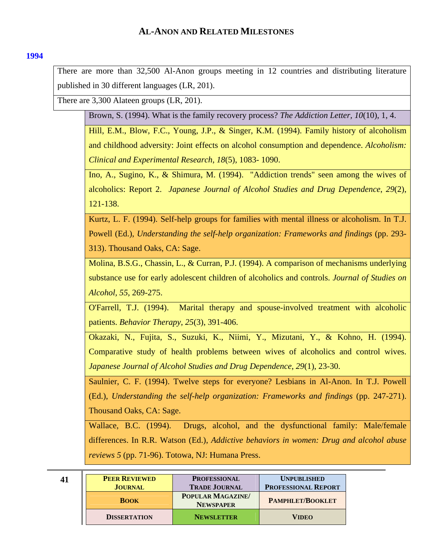## <span id="page-40-0"></span>**[1994](#page-0-0)**

There are more than 32,500 Al-Anon groups meeting in 12 countries and distributing literature published in 30 different languages (LR, 201).

There are 3,300 Alateen groups (LR, 201).

Brown, S. (1994). What is the family recovery process? *The Addiction Letter, 10*(10), 1, 4.

Hill, E.M., Blow, F.C., Young, J.P., & Singer, K.M. (1994). Family history of alcoholism and childhood adversity: Joint effects on alcohol consumption and dependence. *Alcoholism: Clinical and Experimental Research*, *18*(5), 1083- 1090.

Ino, A., Sugino, K., & Shimura, M. (1994). "Addiction trends" seen among the wives of alcoholics: Report 2. *Japanese Journal of Alcohol Studies and Drug Dependence*, *29*(2), 121-138.

Kurtz, L. F. (1994). Self-help groups for families with mental illness or alcoholism. In T.J. Powell (Ed.), *Understanding the self-help organization: Frameworks and findings* (pp. 293- 313). Thousand Oaks, CA: Sage.

Molina, B.S.G., Chassin, L., & Curran, P.J. (1994). A comparison of mechanisms underlying substance use for early adolescent children of alcoholics and controls. *Journal of Studies on Alcohol, 55*, 269-275.

O'Farrell, T.J. (1994). Marital therapy and spouse-involved treatment with alcoholic patients. *Behavior Therapy*, *25*(3), 391-406.

Okazaki, N., Fujita, S., Suzuki, K., Niimi, Y., Mizutani, Y., & Kohno, H. (1994). Comparative study of health problems between wives of alcoholics and control wives. *Japanese Journal of Alcohol Studies and Drug Dependence*, *29*(1), 23-30.

Saulnier, C. F. (1994). Twelve steps for everyone? Lesbians in Al-Anon. In T.J. Powell (Ed.), *Understanding the self-help organization: Frameworks and findings* (pp. 247-271). Thousand Oaks, CA: Sage.

Wallace, B.C. (1994). Drugs, alcohol, and the dysfunctional family: Male/female differences. In R.R. Watson (Ed.), *Addictive behaviors in women: Drug and alcohol abuse reviews 5* (pp. 71-96). Totowa, NJ: Humana Press.

| 41 | <b>PEER REVIEWED</b><br><b>JOURNAL</b> | <b>PROFESSIONAL</b><br><b>TRADE JOURNAL</b> | <b>UNPUBLISHED</b><br><b>PROFESSIONAL REPORT</b> |
|----|----------------------------------------|---------------------------------------------|--------------------------------------------------|
|    | <b>BOOK</b>                            | POPULAR MAGAZINE/<br><b>NEWSPAPER</b>       | <b>PAMPHLET/BOOKLET</b>                          |
|    | <b>DISSERTATION</b>                    | <b>NEWSLETTER</b>                           | <b>VIDEO</b>                                     |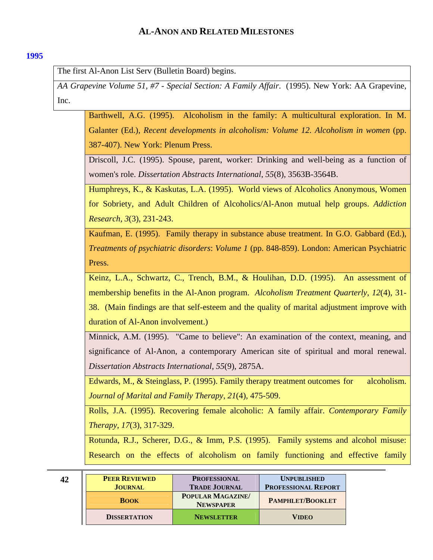## <span id="page-41-0"></span>**[1995](#page-0-0)**

The first Al-Anon List Serv (Bulletin Board) begins.

*AA Grapevine Volume 51, #7 - Special Section: A Family Affair*. (1995). New York: AA Grapevine, Inc.

Barthwell, A.G. (1995). Alcoholism in the family: A multicultural exploration. In M. Galanter (Ed.), *Recent developments in alcoholism: Volume 12. Alcoholism in women* (pp. 387-407). New York: Plenum Press.

Driscoll, J.C. (1995). Spouse, parent, worker: Drinking and well-being as a function of women's role. *Dissertation Abstracts International*, *55*(8), 3563B-3564B.

Humphreys, K., & Kaskutas, L.A. (1995). World views of Alcoholics Anonymous, Women for Sobriety, and Adult Children of Alcoholics/Al-Anon mutual help groups. *Addiction Research*, *3*(3), 231-243.

Kaufman, E. (1995). Family therapy in substance abuse treatment. In G.O. Gabbard (Ed.), *Treatments of psychiatric disorders*: *Volume 1* (pp. 848-859). London: American Psychiatric Press.

Keinz, L.A., Schwartz, C., Trench, B.M., & Houlihan, D.D. (1995). An assessment of membership benefits in the Al-Anon program. *Alcoholism Treatment Quarterly*, *12*(4), 31- 38. (Main findings are that self-esteem and the quality of marital adjustment improve with duration of Al-Anon involvement.)

Minnick, A.M. (1995). "Came to believe": An examination of the context, meaning, and significance of Al-Anon, a contemporary American site of spiritual and moral renewal. *Dissertation Abstracts International*, *55*(9), 2875A.

Edwards, M., & Steinglass, P. (1995). Family therapy treatment outcomes for alcoholism. *Journal of Marital and Family Therapy*, *21*(4), 475-509.

Rolls, J.A. (1995). Recovering female alcoholic: A family affair. *Contemporary Family Therapy*, *17*(3), 317-329.

Rotunda, R.J., Scherer, D.G., & Imm, P.S. (1995). Family systems and alcohol misuse: Research on the effects of alcoholism on family functioning and effective family

| 42 | <b>PEER REVIEWED</b><br><b>JOURNAL</b> | <b>PROFESSIONAL</b><br><b>TRADE JOURNAL</b> | <b>UNPUBLISHED</b><br><b>PROFESSIONAL REPORT</b> |
|----|----------------------------------------|---------------------------------------------|--------------------------------------------------|
|    | <b>BOOK</b>                            | <b>POPULAR MAGAZINE</b><br><b>NEWSPAPER</b> | <b>PAMPHLET/BOOKLET</b>                          |
|    | <b>DISSERTATION</b>                    | <b>NEWSLETTER</b>                           | <b>VIDEO</b>                                     |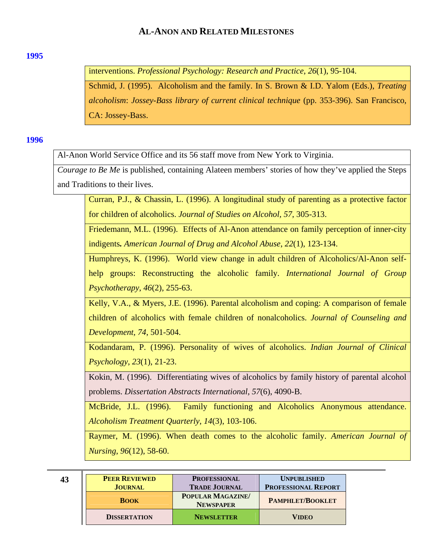### <span id="page-42-0"></span>**[1995](#page-0-0)**

interventions. *Professional Psychology: Research and Practice*, *26*(1), 95-104.

Schmid, J. (1995). Alcoholism and the family. In S. Brown & I.D. Yalom (Eds.), *Treating alcoholism*: *Jossey-Bass library of current clinical technique* (pp. 353-396). San Francisco, CA: Jossey-Bass.

## **[1996](#page-0-0)**

Al-Anon World Service Office and its 56 staff move from New York to Virginia.

*Courage to Be Me* is published, containing Alateen members' stories of how they've applied the Steps and Traditions to their lives.

Curran, P.J., & Chassin, L. (1996). A longitudinal study of parenting as a protective factor for children of alcoholics. *Journal of Studies on Alcohol, 57*, 305-313.

Friedemann, M.L. (1996). Effects of Al-Anon attendance on family perception of inner-city indigents*. American Journal of Drug and Alcohol Abuse*, *22*(1), 123-134.

Humphreys, K. (1996). World view change in adult children of Alcoholics/Al-Anon selfhelp groups: Reconstructing the alcoholic family. *International Journal of Group Psychotherapy*, *46*(2), 255-63.

Kelly, V.A., & Myers, J.E. (1996). Parental alcoholism and coping: A comparison of female children of alcoholics with female children of nonalcoholics. *Journal of Counseling and Development, 74*, 501-504.

Kodandaram, P. (1996). Personality of wives of alcoholics. *Indian Journal of Clinical Psychology*, *23*(1), 21-23.

Kokin, M. (1996). Differentiating wives of alcoholics by family history of parental alcohol problems. *Dissertation Abstracts International*, *57*(6), 4090-B.

McBride, J.L. (1996). Family functioning and Alcoholics Anonymous attendance. *Alcoholism Treatment Quarterly*, *14*(3), 103-106.

Raymer, M. (1996). When death comes to the alcoholic family. *American Journal of Nursing*, *96*(12), 58-60.

| 43 | <b>PEER REVIEWED</b> | <b>PROFESSIONAL</b>                         | <b>UNPUBLISHED</b>         |
|----|----------------------|---------------------------------------------|----------------------------|
|    | <b>JOURNAL</b>       | <b>TRADE JOURNAL</b>                        | <b>PROFESSIONAL REPORT</b> |
|    | <b>BOOK</b>          | <b>POPULAR MAGAZINE</b><br><b>NEWSPAPER</b> | <b>PAMPHLET/BOOKLET</b>    |
|    | <b>DISSERTATION</b>  | <b>NEWSLETTER</b>                           | <b>VIDEO</b>               |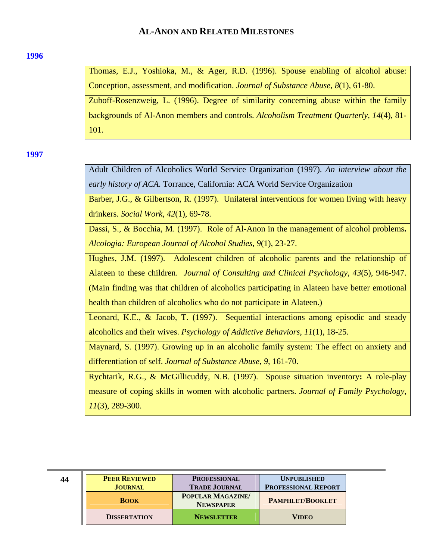#### <span id="page-43-0"></span>**[1996](#page-0-0)**

Thomas, E.J., Yoshioka, M., & Ager, R.D. (1996). Spouse enabling of alcohol abuse: Conception, assessment, and modification. *Journal of Substance Abuse*, *8*(1), 61-80. Zuboff-Rosenzweig, L. (1996). Degree of similarity concerning abuse within the family backgrounds of Al-Anon members and controls. *Alcoholism Treatment Quarterly*, *14*(4), 81- 101.

**[1997](#page-0-0)** 

Adult Children of Alcoholics World Service Organization (1997). *An interview about the early history of ACA*. Torrance, California: ACA World Service Organization

Barber, J.G., & Gilbertson, R. (1997). Unilateral interventions for women living with heavy drinkers. *Social Work*, *42*(1), 69-78.

Dassi, S., & Bocchia, M. (1997). Role of Al-Anon in the management of alcohol problems**.**  *Alcologia: European Journal of Alcohol Studies*, *9*(1), 23-27.

Hughes, J.M. (1997). Adolescent children of alcoholic parents and the relationship of Alateen to these children. *Journal of Consulting and Clinical Psychology*, *43*(5), 946-947. (Main finding was that children of alcoholics participating in Alateen have better emotional health than children of alcoholics who do not participate in Alateen.)

Leonard, K.E., & Jacob, T. (1997). Sequential interactions among episodic and steady alcoholics and their wives. *Psychology of Addictive Behaviors*, *11*(1), 18-25.

Maynard, S. (1997). Growing up in an alcoholic family system: The effect on anxiety and differentiation of self. *Journal of Substance Abuse*, *9*, 161-70.

Rychtarik, R.G., & McGillicuddy, N.B. (1997). Spouse situation inventory**:** A role-play measure of coping skills in women with alcoholic partners. *Journal of Family Psychology*, *11*(3), 289-300.

| 44 | <b>PEER REVIEWED</b><br><b>JOURNAL</b> | <b>PROFESSIONAL</b><br><b>TRADE JOURNAL</b> | <b>UNPUBLISHED</b><br><b>PROFESSIONAL REPORT</b> |
|----|----------------------------------------|---------------------------------------------|--------------------------------------------------|
|    | <b>BOOK</b>                            | POPULAR MAGAZINE/<br><b>NEWSPAPER</b>       | PAMPHLET/BOOKLET                                 |
|    | <b>DISSERTATION</b>                    | <b>NEWSLETTER</b>                           | VIDEO                                            |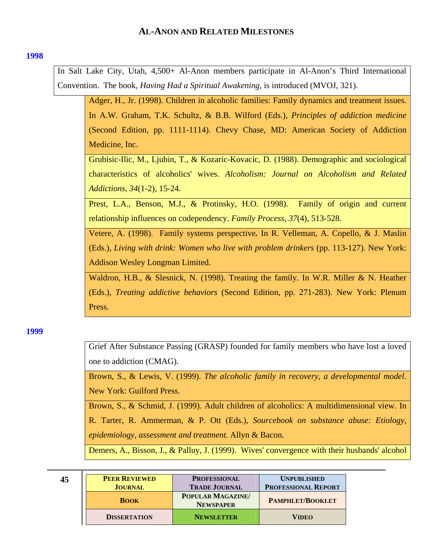<span id="page-44-0"></span>In Salt Lake City, Utah, 4,500+ Al-Anon members participate in Al-Anon's Third International Convention. The book, *Having Had a Spiritual Awakening*, is introduced (MVOJ, 321).

Adger, H., Jr. (1998). Children in alcoholic families: Family dynamics and treatment issues. In A.W. Graham, T.K. Schultz, & B.B. Wilford (Eds.), *Principles of addiction medicine* (Second Edition, pp. 1111-1114). Chevy Chase, MD: American Society of Addiction Medicine, Inc.

Grubisic-Ilic, M., Ljubin, T., & Kozaric-Kovacic, D. (1988). Demographic and sociological characteristics of alcoholics' wives. *Alcoholism: Journal on Alcoholism and Related Addictions*, *34*(1-2), 15-24.

Prest, L.A., Benson, M.J., & Protinsky, H.O. (1998). Family of origin and current relationship influences on codependency. *Family Process*, *37*(4), 513-528.

Vetere, A. (1998). Family systems perspective*.* In R. Velleman, A. Copello, & J. Maslin (Eds.), *Living with drink: Women who live with problem drinkers* (pp. 113-127). New York: Addison Wesley Longman Limited.

Waldron, H.B., & Slesnick, N. (1998). Treating the family. In W.R. Miller & N. Heather (Eds.), *Treating addictive behaviors* (Second Edition, pp. 271-283). New York: Plenum Press.

#### **[1999](#page-0-0)**

Grief After Substance Passing (GRASP) founded for family members who have lost a loved one to addiction (CMAG).

Brown, S., & Lewis, V. (1999). *The alcoholic family in recovery, a developmental model*. New York: Guilford Press.

Brown, S., & Schmid, J. (1999). Adult children of alcoholics: A multidimensional view. In R. Tarter, R. Ammerman, & P. Ott (Eds.), *Sourcebook on substance abuse: Etiology, epidemiology, assessment and treatment.* Allyn & Bacon.

Demers, A., Bisson, J., & Palluy, J. (1999). Wives' convergence with their husbands' alcohol

| 45 | <b>PEER REVIEWED</b><br><b>JOURNAL</b> | <b>PROFESSIONAL</b><br><b>TRADE JOURNAL</b>  | <b>UNPUBLISHED</b><br><b>PROFESSIONAL REPORT</b> |
|----|----------------------------------------|----------------------------------------------|--------------------------------------------------|
|    | <b>BOOK</b>                            | <b>POPULAR MAGAZINE/</b><br><b>NEWSPAPER</b> | <b>PAMPHLET/BOOKLET</b>                          |
|    | <b>DISSERTATION</b>                    | <b>NEWSLETTER</b>                            | <b>VIDEO</b>                                     |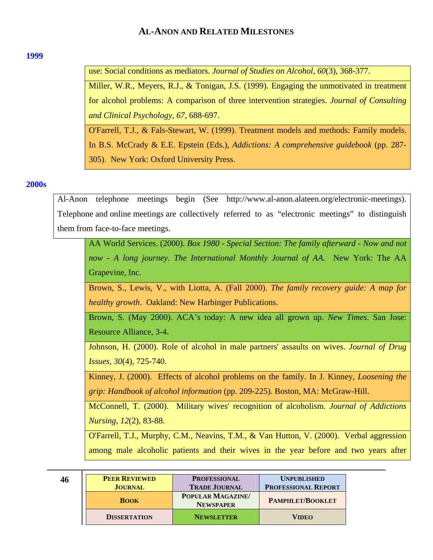#### <span id="page-45-0"></span>**[1999](#page-0-0)**

use: Social conditions as mediators. *Journal of Studies on Alcohol*, *60*(3), 368-377.

Miller, W.R., Meyers, R.J., & Tonigan, J.S. (1999). Engaging the unmotivated in treatment for alcohol problems: A comparison of three intervention strategies. *Journal of Consulting and Clinical Psychology*, *67*, 688-697.

O'Farrell, T.J., & Fals-Stewart, W. (1999). Treatment models and methods: Family models. In B.S. McCrady & E.E. Epstein (Eds.), *Addictions: A comprehensive guidebook* (pp. 287- 305). New York: Oxford University Press.

### **[2000s](#page-0-0)**

Al-Anon telephone meetings begin (See http://www.al-anon.alateen.org/electronic-meetings). Telephone and online meetings are collectively referred to as "electronic meetings" to distinguish them from face-to-face meetings.

AA World Services. (2000). *Box 1980 - Special Section: The family afterward - Now and not now - A long journey. The International Monthly Journal of AA*. New York: The AA Grapevine, Inc.

Brown, S., Lewis, V., with Liotta, A. (Fall 2000). *The family recovery guide: A map for healthy growth*. Oakland: New Harbinger Publications.

Brown, S. (May 2000). ACA's today: A new idea all grown up. *New Times*. San Jose: Resource Alliance, 3-4.

Johnson, H. (2000). Role of alcohol in male partners' assaults on wives. *Journal of Drug Issues*, *30*(4), 725-740.

Kinney, J. (2000). Effects of alcohol problems on the family. In J. Kinney, *Loosening the grip: Handbook of alcohol information* (pp. 209-225). Boston, MA: McGraw-Hill.

McConnell, T. (2000). Military wives' recognition of alcoholism. *Journal of Addictions Nursing*, *12*(2), 83-88.

O'Farrell, T.J., Murphy, C.M., Neavins, T.M., & Van Hutton, V. (2000). Verbal aggression among male alcoholic patients and their wives in the year before and two years after

| 46 | <b>PEER REVIEWED</b> | <b>PROFESSIONAL</b>                   | <b>UNPUBLISHED</b>         |
|----|----------------------|---------------------------------------|----------------------------|
|    | <b>JOURNAL</b>       | <b>TRADE JOURNAL</b>                  | <b>PROFESSIONAL REPORT</b> |
|    | <b>BOOK</b>          | POPULAR MAGAZINE/<br><b>NEWSPAPER</b> | <b>PAMPHLET/BOOKLET</b>    |
|    | <b>DISSERTATION</b>  | <b>NEWSLETTER</b>                     | <b>VIDEO</b>               |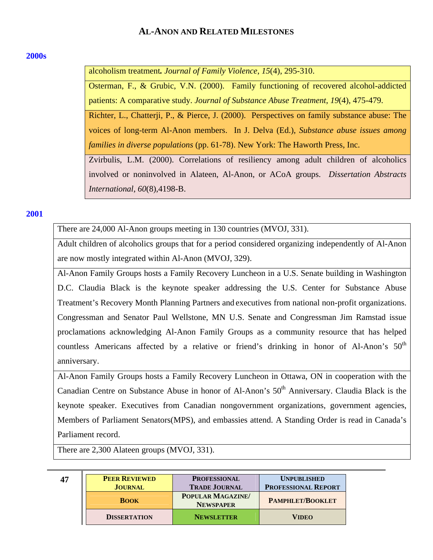## <span id="page-46-0"></span>**[2000s](#page-0-0)**

alcoholism treatment*. Journal of Family Violence*, *15*(4), 295-310.

Osterman, F., & Grubic, V.N. (2000). Family functioning of recovered alcohol-addicted patients: A comparative study. *Journal of Substance Abuse Treatment*, *19*(4), 475-479.

Richter, L., Chatterji, P., & Pierce, J. (2000). Perspectives on family substance abuse: The voices of long-term Al-Anon members. In J. Delva (Ed.), *Substance abuse issues among families in diverse populations* (pp. 61-78). New York: The Haworth Press, Inc.

Zvirbulis, L.M. (2000). Correlations of resiliency among adult children of alcoholics involved or noninvolved in Alateen, Al-Anon, or ACoA groups. *Dissertation Abstracts International*, *60*(8),4198-B.

# **[2001](#page-0-0)**

There are 24,000 Al-Anon groups meeting in 130 countries (MVOJ, 331).

Adult children of alcoholics groups that for a period considered organizing independently of Al-Anon are now mostly integrated within Al-Anon (MVOJ, 329).

Al-Anon Family Groups hosts a Family Recovery Luncheon in a U.S. Senate building in Washington D.C. Claudia Black is the keynote speaker addressing the U.S. Center for Substance Abuse Treatment's Recovery Month Planning Partners and executives from national non-profit organizations. Congressman and Senator Paul Wellstone, MN U.S. Senate and Congressman Jim Ramstad issue proclamations acknowledging Al-Anon Family Groups as a community resource that has helped countless Americans affected by a relative or friend's drinking in honor of Al-Anon's  $50<sup>th</sup>$ anniversary.

Al-Anon Family Groups hosts a Family Recovery Luncheon in Ottawa, ON in cooperation with the Canadian Centre on Substance Abuse in honor of Al-Anon's  $50<sup>th</sup>$  Anniversary. Claudia Black is the keynote speaker. Executives from Canadian nongovernment organizations, government agencies, Members of Parliament Senators(MPS), and embassies attend. A Standing Order is read in Canada's Parliament record.

There are 2,300 Alateen groups (MVOJ, 331).

| 47 | <b>PEER REVIEWED</b> | <b>PROFESSIONAL</b>                   | <b>UNPUBLISHED</b>         |
|----|----------------------|---------------------------------------|----------------------------|
|    | <b>JOURNAL</b>       | <b>TRADE JOURNAL</b>                  | <b>PROFESSIONAL REPORT</b> |
|    | <b>BOOK</b>          | POPULAR MAGAZINE/<br><b>NEWSPAPER</b> | <b>PAMPHLET/BOOKLET</b>    |
|    | <b>DISSERTATION</b>  | <b>NEWSLETTER</b>                     | <b>VIDEO</b>               |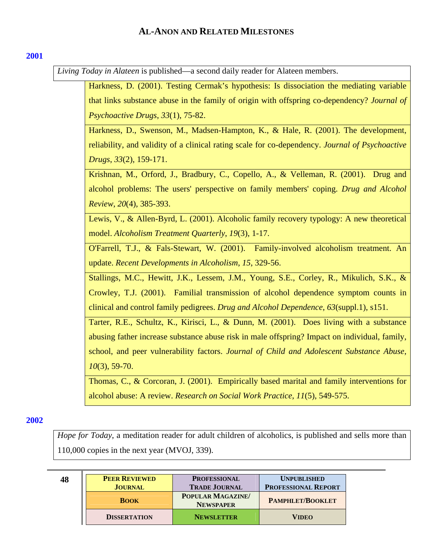*Living Today in Alateen* is published—a second daily reader for Alateen members.

Harkness, D. (2001). Testing Cermak's hypothesis: Is dissociation the mediating variable that links substance abuse in the family of origin with offspring co-dependency? *Journal of Psychoactive Drugs*, *33*(1), 75-82.

Harkness, D., Swenson, M., Madsen-Hampton, K., & Hale, R. (2001). The development, reliability, and validity of a clinical rating scale for co-dependency. *Journal of Psychoactive Drugs*, *33*(2), 159-171.

Krishnan, M., Orford, J., Bradbury, C., Copello, A., & Velleman, R. (2001). Drug and alcohol problems: The users' perspective on family members' coping. *Drug and Alcohol Review*, *20*(4), 385-393.

Lewis, V., & Allen-Byrd, L. (2001). Alcoholic family recovery typology: A new theoretical model. *Alcoholism Treatment Quarterly*, *19*(3), 1-17.

O'Farrell, T.J., & Fals-Stewart, W. (2001). Family-involved alcoholism treatment. An update. *Recent Developments in Alcoholism*, *15*, 329-56.

Stallings, M.C., Hewitt, J.K., Lessem, J.M., Young, S.E., Corley, R., Mikulich, S.K., & Crowley, T.J. (2001). Familial transmission of alcohol dependence symptom counts in clinical and control family pedigrees. *Drug and Alcohol Dependence*, *63*(suppl.1), s151.

Tarter, R.E., Schultz, K., Kirisci, L., & Dunn, M. (2001). Does living with a substance abusing father increase substance abuse risk in male offspring? Impact on individual, family, school, and peer vulnerability factors. *Journal of Child and Adolescent Substance Abuse*, *10*(3), 59-70.

Thomas, C., & Corcoran, J. (2001). Empirically based marital and family interventions for alcohol abuse: A review. *Research on Social Work Practice*, *11*(5), 549-575.

## **[2002](#page-0-0)**

*Hope for Today*, a meditation reader for adult children of alcoholics, is published and sells more than 110,000 copies in the next year (MVOJ, 339).

| 48 | <b>PEER REVIEWED</b><br><b>JOURNAL</b> | <b>PROFESSIONAL</b><br><b>TRADE JOURNAL</b> | <b>UNPUBLISHED</b><br><b>PROFESSIONAL REPORT</b> |
|----|----------------------------------------|---------------------------------------------|--------------------------------------------------|
|    | <b>BOOK</b>                            | <b>POPULAR MAGAZINE</b><br><b>NEWSPAPER</b> | <b>PAMPHLET/BOOKLET</b>                          |
|    | <b>DISSERTATION</b>                    | <b>NEWSLETTER</b>                           | <b>VIDEO</b>                                     |

### <span id="page-47-0"></span>**[2001](#page-0-0)**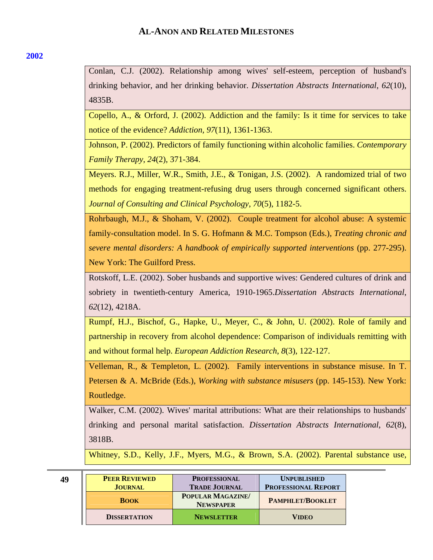## **[2002](#page-0-0)**

Conlan, C.J. (2002). Relationship among wives' self-esteem, perception of husband's drinking behavior, and her drinking behavior. *Dissertation Abstracts International*, *62*(10), 4835B.

Copello, A., & Orford, J. (2002). Addiction and the family: Is it time for services to take notice of the evidence? *Addiction, 97*(11), 1361-1363.

Johnson, P. (2002). Predictors of family functioning within alcoholic families. *Contemporary Family Therapy*, *24*(2), 371-384.

Meyers. R.J., Miller, W.R., Smith, J.E., & Tonigan, J.S. (2002). A randomized trial of two methods for engaging treatment-refusing drug users through concerned significant others. *Journal of Consulting and Clinical Psychology*, *70*(5), 1182-5.

Rohrbaugh, M.J., & Shoham, V. (2002). Couple treatment for alcohol abuse: A systemic family-consultation model. In S. G. Hofmann & M.C. Tompson (Eds.), *Treating chronic and severe mental disorders: A handbook of empirically supported interventions* (pp. 277-295). New York: The Guilford Press.

Rotskoff, L.E. (2002). Sober husbands and supportive wives: Gendered cultures of drink and sobriety in twentieth-century America, 1910-1965.*Dissertation Abstracts International*, *62*(12), 4218A.

Rumpf, H.J., Bischof, G., Hapke, U., Meyer, C., & John, U. (2002). Role of family and partnership in recovery from alcohol dependence: Comparison of individuals remitting with and without formal help. *European Addiction Research*, *8*(3), 122-127.

Velleman, R., & Templeton, L. (2002). Family interventions in substance misuse. In T. Petersen & A. McBride (Eds.), *Working with substance misusers* (pp. 145-153). New York: Routledge.

Walker, C.M. (2002). Wives' marital attributions: What are their relationships to husbands' drinking and personal marital satisfaction. *Dissertation Abstracts International*, *62*(8), 3818B.

Whitney, S.D., Kelly, J.F., Myers, M.G., & Brown, S.A. (2002). Parental substance use,

**49 PEER REVIEWED JOURNAL PROFESSIONAL TRADE JOURNAL UNPUBLISHED PROFESSIONAL REPORT BOOK POPULAR MAGAZINE/ NEWSPAPER PAMPHLET/BOOKLET DISSERTATION NEWSLETTER VIDEO**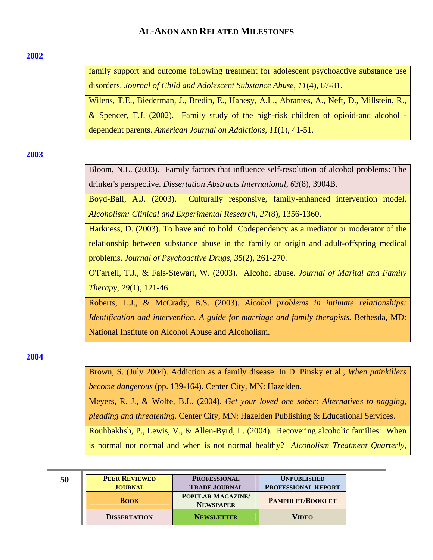#### <span id="page-49-0"></span>**[2002](#page-0-0)**

family support and outcome following treatment for adolescent psychoactive substance use disorders. *Journal of Child and Adolescent Substance Abuse*, *11*(4), 67-81.

Wilens, T.E., Biederman, J., Bredin, E., Hahesy, A.L., Abrantes, A., Neft, D., Millstein, R., & Spencer, T.J. (2002). Family study of the high-risk children of opioid-and alcohol dependent parents. *American Journal on Addictions*, *11*(1), 41-51.

**[2003](#page-0-0)** 

Bloom, N.L. (2003). Family factors that influence self-resolution of alcohol problems: The drinker's perspective. *Dissertation Abstracts International*, *63*(8), 3904B.

Boyd-Ball, A.J. (2003). Culturally responsive, family-enhanced intervention model. *Alcoholism: Clinical and Experimental Research*, *27*(8), 1356-1360.

Harkness, D. (2003). To have and to hold: Codependency as a mediator or moderator of the relationship between substance abuse in the family of origin and adult-offspring medical problems. *Journal of Psychoactive Drugs*, *35*(2), 261-270.

O'Farrell, T.J., & Fals-Stewart, W. (2003). Alcohol abuse. *Journal of Marital and Family Therapy*, *29*(1), 121-46.

Roberts, L.J., & McCrady, B.S. (2003). *Alcohol problems in intimate relationships: Identification and intervention. A guide for marriage and family therapists. Bethesda, MD:* National Institute on Alcohol Abuse and Alcoholism.

**[2004](#page-0-0)** 

Brown, S. (July 2004). Addiction as a family disease. In D. Pinsky et al., *When painkillers become dangerous* (pp. 139-164). Center City, MN: Hazelden.

Meyers, R. J., & Wolfe, B.L. (2004). *Get your loved one sober: Alternatives to nagging,* 

*pleading and threatening.* Center City, MN: Hazelden Publishing & Educational Services.

Rouhbakhsh, P., Lewis, V., & Allen-Byrd, L. (2004). Recovering alcoholic families: When is normal not normal and when is not normal healthy? *Alcoholism Treatment Quarterly*,

| ۰                 | ł      |         |
|-------------------|--------|---------|
| ۰,                | r.     | I       |
| ۰.<br>×<br>$\sim$ | ×<br>× | I<br>۰, |

|    | <b>PEER REVIEWED</b> | <b>PROFESSIONAL</b>                         | <b>UNPUBLISHED</b>         |
|----|----------------------|---------------------------------------------|----------------------------|
| 50 |                      |                                             |                            |
|    | <b>JOURNAL</b>       | <b>TRADE JOURNAL</b>                        | <b>PROFESSIONAL REPORT</b> |
|    | <b>BOOK</b>          | <b>POPULAR MAGAZINE</b><br><b>NEWSPAPER</b> | <b>PAMPHLET/BOOKLET</b>    |
|    | <b>DISSERTATION</b>  | <b>NEWSLETTER</b>                           | <b>VIDEO</b>               |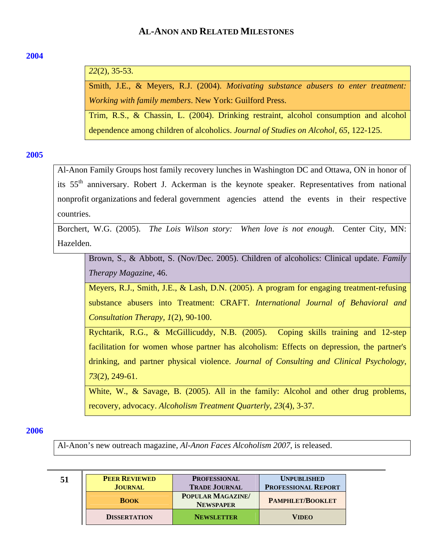### <span id="page-50-0"></span>**[2004](#page-0-0)**

# *22*(2), 35-53.

Smith, J.E., & Meyers, R.J. (2004). *Motivating substance abusers to enter treatment: Working with family members*. New York: Guilford Press.

Trim, R.S., & Chassin, L. (2004). Drinking restraint, alcohol consumption and alcohol dependence among children of alcoholics. *Journal of Studies on Alcohol, 65*, 122-125.

### **[2005](#page-0-0)**

Al-Anon Family Groups host family recovery lunches in Washington DC and Ottawa, ON in honor of its 55th anniversary. Robert J. Ackerman is the keynote speaker. Representatives from national nonprofit organizations and federal government agencies attend the events in their respective countries.

Borchert, W.G. (2005). *The Lois Wilson story: When love is not enough*. Center City, MN: Hazelden.

Brown, S., & Abbott, S. (Nov/Dec. 2005). Children of alcoholics: Clinical update. *Family Therapy Magazine*, 46.

Meyers, R.J., Smith, J.E., & Lash, D.N. (2005). A program for engaging treatment-refusing substance abusers into Treatment: CRAFT. *International Journal of Behavioral and Consultation Therapy, 1*(2), 90-100.

Rychtarik, R.G., & McGillicuddy, N.B. (2005). Coping skills training and 12-step facilitation for women whose partner has alcoholism: Effects on depression, the partner's drinking, and partner physical violence. *Journal of Consulting and Clinical Psychology*, *73*(2), 249-61.

White, W., & Savage, B. (2005). All in the family: Alcohol and other drug problems, recovery, advocacy. *Alcoholism Treatment Quarterly, 23*(4), 3-37.

#### **[2006](#page-0-0)**

Al-Anon's new outreach magazine, *Al-Anon Faces Alcoholism 2007*, is released.

| -51 | <b>PEER REVIEWED</b> | <b>PROFESSIONAL</b>                         | <b>UNPUBLISHED</b>         |
|-----|----------------------|---------------------------------------------|----------------------------|
|     | <b>JOURNAL</b>       | <b>TRADE JOURNAL</b>                        | <b>PROFESSIONAL REPORT</b> |
|     | <b>BOOK</b>          | <b>POPULAR MAGAZINE</b><br><b>NEWSPAPER</b> | <b>PAMPHLET/BOOKLET</b>    |
|     | <b>DISSERTATION</b>  | <b>NEWSLETTER</b>                           | <b>VIDEO</b>               |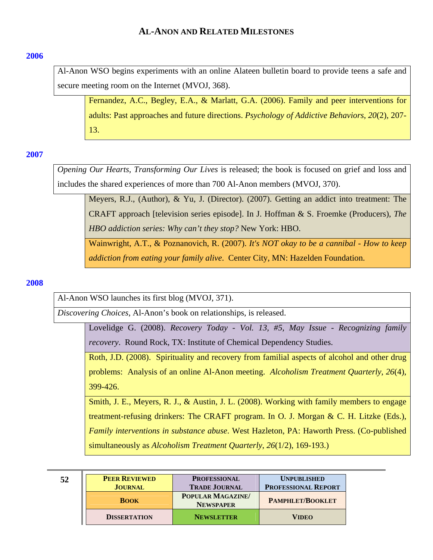### <span id="page-51-0"></span>**[2006](#page-0-0)**

Al-Anon WSO begins experiments with an online Alateen bulletin board to provide teens a safe and secure meeting room on the Internet (MVOJ, 368).

Fernandez, A.C., Begley, E.A., & Marlatt, G.A. (2006). Family and peer interventions for adults: Past approaches and future directions. *Psychology of Addictive Behaviors*, *20*(2), 207- 13.

### **[2007](#page-0-0)**

*Opening Our Hearts, Transforming Our Lives* is released; the book is focused on grief and loss and includes the shared experiences of more than 700 Al-Anon members (MVOJ, 370).

Meyers, R.J., (Author), & Yu, J. (Director). (2007). Getting an addict into treatment: The CRAFT approach [television series episode]. In J. Hoffman & S. Froemke (Producers), *The HBO addiction series: Why can't they stop?* New York: HBO.

Wainwright, A.T., & Poznanovich, R. (2007). *It's NOT okay to be a cannibal - How to keep addiction from eating your family alive*. Center City, MN: Hazelden Foundation.

### **[2008](#page-0-0)**

Al-Anon WSO launches its first blog (MVOJ, 371).

*Discovering Choices*, Al-Anon's book on relationships, is released.

Lovelidge G. (2008). *Recovery Today - Vol. 13, #5, May Issue - Recognizing family recovery*. Round Rock, TX: Institute of Chemical Dependency Studies.

Roth, J.D. (2008). Spirituality and recovery from familial aspects of alcohol and other drug problems: Analysis of an online Al-Anon meeting. *Alcoholism Treatment Quarterly*, *26*(4), 399-426.

Smith, J. E., Meyers, R. J., & Austin, J. L. (2008). Working with family members to engage treatment-refusing drinkers: The CRAFT program. In O. J. Morgan & C. H. Litzke (Eds.), *Family interventions in substance abuse*. West Hazleton, PA: Haworth Press. (Co-published simultaneously as *Alcoholism Treatment Quarterly*, *26*(1/2), 169-193.)

| 52 | <b>PEER REVIEWED</b> | <b>PROFESSIONAL</b>                   | <b>UNPUBLISHED</b>         |
|----|----------------------|---------------------------------------|----------------------------|
|    | <b>JOURNAL</b>       | <b>TRADE JOURNAL</b>                  | <b>PROFESSIONAL REPORT</b> |
|    | <b>BOOK</b>          | POPULAR MAGAZINE/<br><b>NEWSPAPER</b> | <b>PAMPHLET/BOOKLET</b>    |
|    | <b>DISSERTATION</b>  | <b>NEWSLETTER</b>                     | <b>VIDEO</b>               |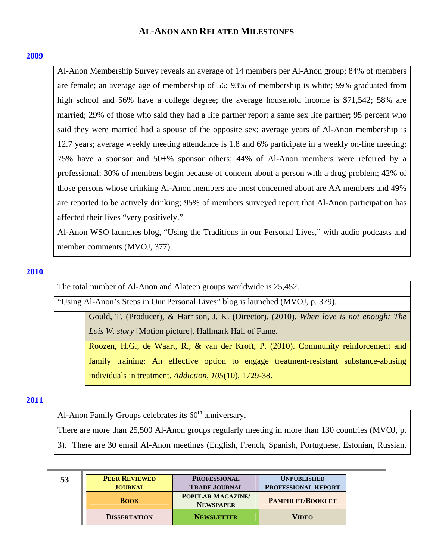### <span id="page-52-0"></span>**[2009](#page-0-0)**

Al-Anon Membership Survey reveals an average of 14 members per Al-Anon group; 84% of members are female; an average age of membership of 56; 93% of membership is white; 99% graduated from high school and 56% have a college degree; the average household income is \$71,542; 58% are married; 29% of those who said they had a life partner report a same sex life partner; 95 percent who said they were married had a spouse of the opposite sex; average years of Al-Anon membership is 12.7 years; average weekly meeting attendance is 1.8 and 6% participate in a weekly on-line meeting; 75% have a sponsor and 50+% sponsor others; 44% of Al-Anon members were referred by a professional; 30% of members begin because of concern about a person with a drug problem; 42% of those persons whose drinking Al-Anon members are most concerned about are AA members and 49% are reported to be actively drinking; 95% of members surveyed report that Al-Anon participation has affected their lives "very positively."

Al-Anon WSO launches blog, "Using the Traditions in our Personal Lives," with audio podcasts and member comments (MVOJ, 377).

### **[2010](#page-0-0)**

The total number of Al-Anon and Alateen groups worldwide is 25,452.

"Using Al-Anon's Steps in Our Personal Lives" blog is launched (MVOJ, p. 379).

Gould, T. (Producer), & Harrison, J. K. (Director). (2010). *When love is not enough: The Lois W. story* [Motion picture]. Hallmark Hall of Fame.

Roozen, H.G., de Waart, R., & van der Kroft, P. (2010). Community reinforcement and family training: An effective option to engage treatment-resistant substance-abusing individuals in treatment. *Addiction*, *105*(10), 1729-38.

## **[2011](#page-0-0)**

Al-Anon Family Groups celebrates its 60<sup>th</sup> anniversary.

There are more than 25,500 Al-Anon groups regularly meeting in more than 130 countries (MVOJ, p.

3). There are 30 email Al-Anon meetings (English, French, Spanish, Portuguese, Estonian, Russian,

| 53 | <b>PEER REVIEWED</b> | <b>PROFESSIONAL</b>                         | <b>UNPUBLISHED</b>         |
|----|----------------------|---------------------------------------------|----------------------------|
|    | <b>JOURNAL</b>       | <b>TRADE JOURNAL</b>                        | <b>PROFESSIONAL REPORT</b> |
|    | <b>BOOK</b>          | <b>POPULAR MAGAZINE</b><br><b>NEWSPAPER</b> | <b>PAMPHLET/BOOKLET</b>    |
|    | <b>DISSERTATION</b>  | <b>NEWSLETTER</b>                           | <b>VIDEO</b>               |